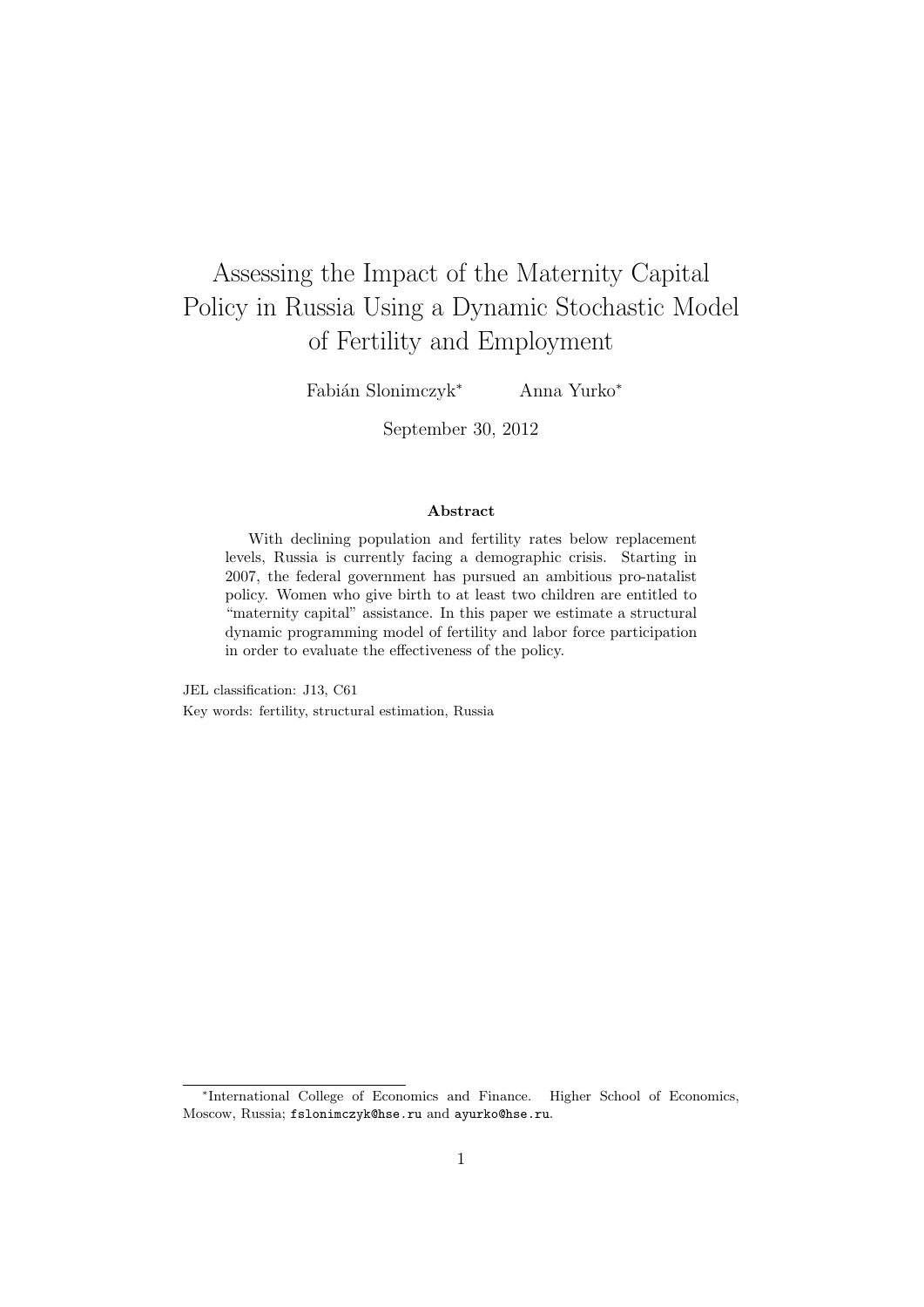# Assessing the Impact of the Maternity Capital Policy in Russia Using a Dynamic Stochastic Model of Fertility and Employment

Fabián Slonimczyk<sup>∗</sup> Anna Yurko<sup>∗</sup>

September 30, 2012

#### Abstract

With declining population and fertility rates below replacement levels, Russia is currently facing a demographic crisis. Starting in 2007, the federal government has pursued an ambitious pro-natalist policy. Women who give birth to at least two children are entitled to "maternity capital" assistance. In this paper we estimate a structural dynamic programming model of fertility and labor force participation in order to evaluate the effectiveness of the policy.

JEL classification: J13, C61 Key words: fertility, structural estimation, Russia

<sup>∗</sup> International College of Economics and Finance. Higher School of Economics, Moscow, Russia; fslonimczyk@hse.ru and ayurko@hse.ru.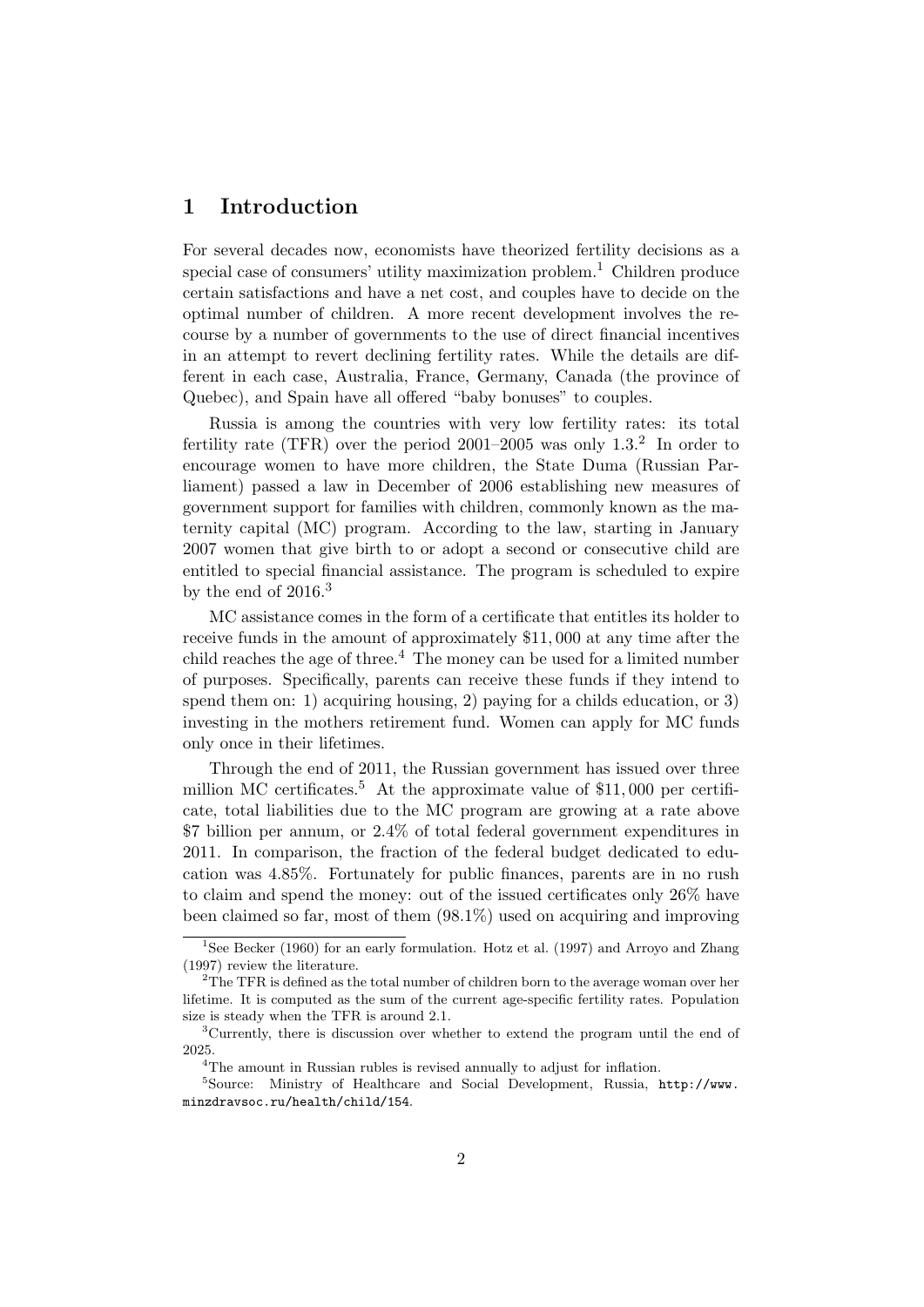## 1 Introduction

For several decades now, economists have theorized fertility decisions as a special case of consumers' utility maximization problem.<sup>1</sup> Children produce certain satisfactions and have a net cost, and couples have to decide on the optimal number of children. A more recent development involves the recourse by a number of governments to the use of direct financial incentives in an attempt to revert declining fertility rates. While the details are different in each case, Australia, France, Germany, Canada (the province of Quebec), and Spain have all offered "baby bonuses" to couples.

Russia is among the countries with very low fertility rates: its total fertility rate (TFR) over the period  $2001-2005$  was only  $1.3<sup>2</sup>$  In order to encourage women to have more children, the State Duma (Russian Parliament) passed a law in December of 2006 establishing new measures of government support for families with children, commonly known as the maternity capital (MC) program. According to the law, starting in January 2007 women that give birth to or adopt a second or consecutive child are entitled to special financial assistance. The program is scheduled to expire by the end of  $2016<sup>3</sup>$ 

MC assistance comes in the form of a certificate that entitles its holder to receive funds in the amount of approximately \$11, 000 at any time after the child reaches the age of three.<sup>4</sup> The money can be used for a limited number of purposes. Specifically, parents can receive these funds if they intend to spend them on: 1) acquiring housing, 2) paying for a childs education, or 3) investing in the mothers retirement fund. Women can apply for MC funds only once in their lifetimes.

Through the end of 2011, the Russian government has issued over three million MC certificates.<sup>5</sup> At the approximate value of  $$11,000$  per certificate, total liabilities due to the MC program are growing at a rate above \$7 billion per annum, or 2.4% of total federal government expenditures in 2011. In comparison, the fraction of the federal budget dedicated to education was 4.85%. Fortunately for public finances, parents are in no rush to claim and spend the money: out of the issued certificates only 26% have been claimed so far, most of them (98.1%) used on acquiring and improving

<sup>&</sup>lt;sup>1</sup>See Becker (1960) for an early formulation. Hotz et al. (1997) and Arroyo and Zhang (1997) review the literature.

<sup>&</sup>lt;sup>2</sup>The TFR is defined as the total number of children born to the average woman over her lifetime. It is computed as the sum of the current age-specific fertility rates. Population size is steady when the TFR is around 2.1.

<sup>3</sup>Currently, there is discussion over whether to extend the program until the end of 2025.

<sup>&</sup>lt;sup>4</sup>The amount in Russian rubles is revised annually to adjust for inflation.

<sup>5</sup>Source: Ministry of Healthcare and Social Development, Russia, http://www. minzdravsoc.ru/health/child/154.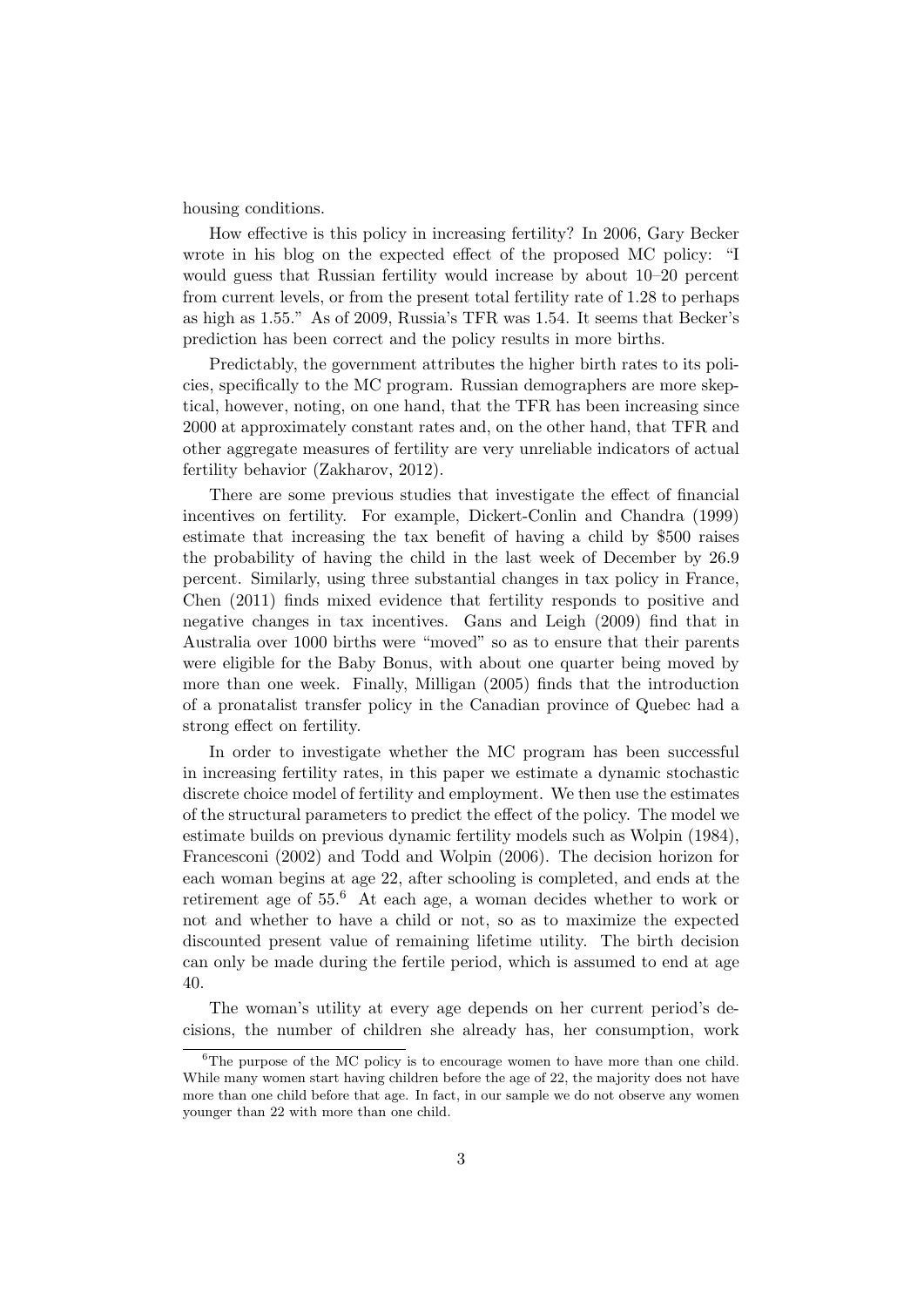housing conditions.

How effective is this policy in increasing fertility? In 2006, Gary Becker wrote in his blog on the expected effect of the proposed MC policy: "I would guess that Russian fertility would increase by about 10–20 percent from current levels, or from the present total fertility rate of 1.28 to perhaps as high as 1.55." As of 2009, Russia's TFR was 1.54. It seems that Becker's prediction has been correct and the policy results in more births.

Predictably, the government attributes the higher birth rates to its policies, specifically to the MC program. Russian demographers are more skeptical, however, noting, on one hand, that the TFR has been increasing since 2000 at approximately constant rates and, on the other hand, that TFR and other aggregate measures of fertility are very unreliable indicators of actual fertility behavior (Zakharov, 2012).

There are some previous studies that investigate the effect of financial incentives on fertility. For example, Dickert-Conlin and Chandra (1999) estimate that increasing the tax benefit of having a child by \$500 raises the probability of having the child in the last week of December by 26.9 percent. Similarly, using three substantial changes in tax policy in France, Chen (2011) finds mixed evidence that fertility responds to positive and negative changes in tax incentives. Gans and Leigh (2009) find that in Australia over 1000 births were "moved" so as to ensure that their parents were eligible for the Baby Bonus, with about one quarter being moved by more than one week. Finally, Milligan (2005) finds that the introduction of a pronatalist transfer policy in the Canadian province of Quebec had a strong effect on fertility.

In order to investigate whether the MC program has been successful in increasing fertility rates, in this paper we estimate a dynamic stochastic discrete choice model of fertility and employment. We then use the estimates of the structural parameters to predict the effect of the policy. The model we estimate builds on previous dynamic fertility models such as Wolpin (1984), Francesconi (2002) and Todd and Wolpin (2006). The decision horizon for each woman begins at age 22, after schooling is completed, and ends at the retirement age of 55.<sup>6</sup> At each age, a woman decides whether to work or not and whether to have a child or not, so as to maximize the expected discounted present value of remaining lifetime utility. The birth decision can only be made during the fertile period, which is assumed to end at age 40.

The woman's utility at every age depends on her current period's decisions, the number of children she already has, her consumption, work

 ${}^{6}$ The purpose of the MC policy is to encourage women to have more than one child. While many women start having children before the age of 22, the majority does not have more than one child before that age. In fact, in our sample we do not observe any women younger than 22 with more than one child.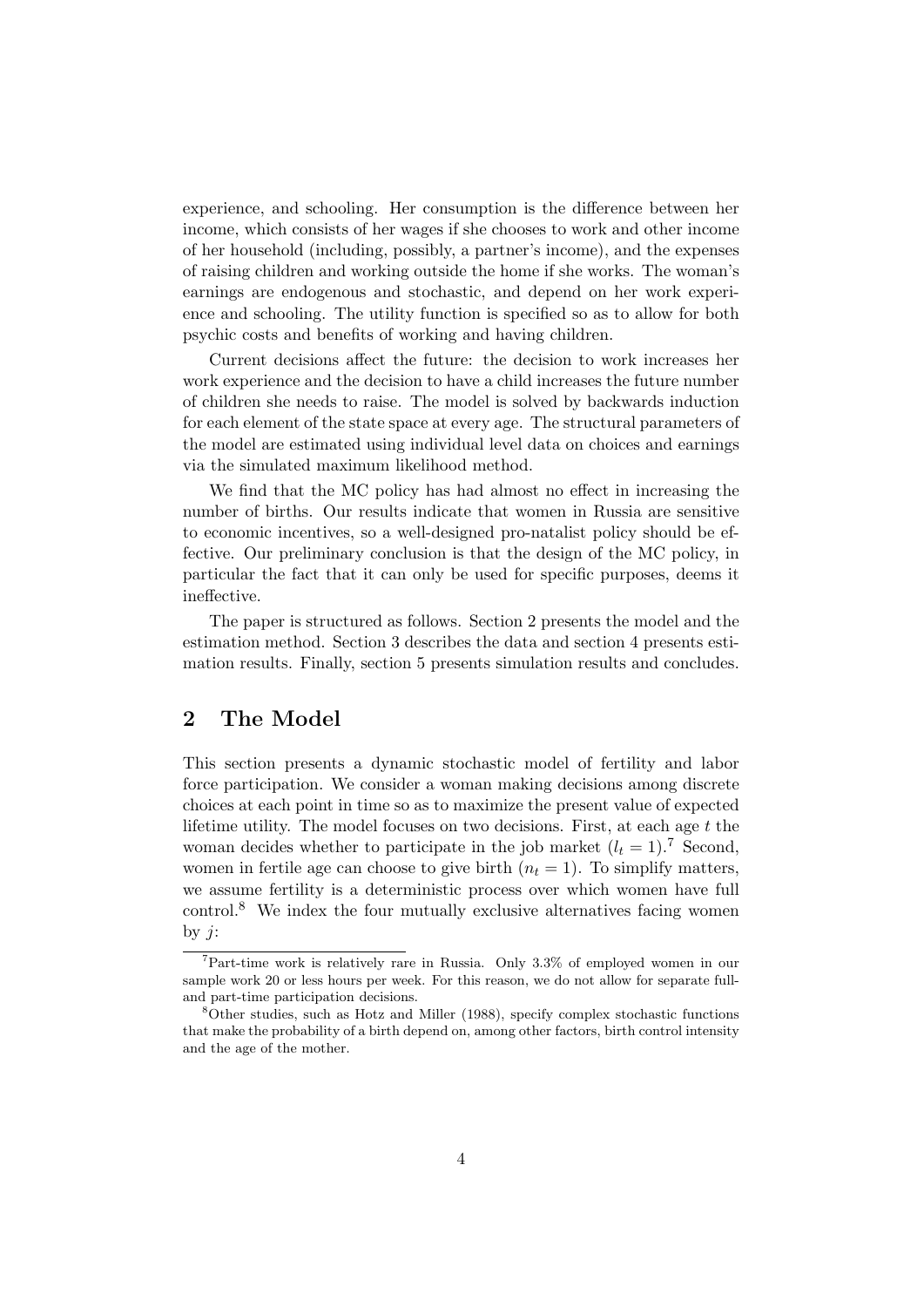experience, and schooling. Her consumption is the difference between her income, which consists of her wages if she chooses to work and other income of her household (including, possibly, a partner's income), and the expenses of raising children and working outside the home if she works. The woman's earnings are endogenous and stochastic, and depend on her work experience and schooling. The utility function is specified so as to allow for both psychic costs and benefits of working and having children.

Current decisions affect the future: the decision to work increases her work experience and the decision to have a child increases the future number of children she needs to raise. The model is solved by backwards induction for each element of the state space at every age. The structural parameters of the model are estimated using individual level data on choices and earnings via the simulated maximum likelihood method.

We find that the MC policy has had almost no effect in increasing the number of births. Our results indicate that women in Russia are sensitive to economic incentives, so a well-designed pro-natalist policy should be effective. Our preliminary conclusion is that the design of the MC policy, in particular the fact that it can only be used for specific purposes, deems it ineffective.

The paper is structured as follows. Section 2 presents the model and the estimation method. Section 3 describes the data and section 4 presents estimation results. Finally, section 5 presents simulation results and concludes.

## 2 The Model

This section presents a dynamic stochastic model of fertility and labor force participation. We consider a woman making decisions among discrete choices at each point in time so as to maximize the present value of expected lifetime utility. The model focuses on two decisions. First, at each age  $t$  the woman decides whether to participate in the job market  $(l_t = 1)$ .<sup>7</sup> Second, women in fertile age can choose to give birth  $(n_t = 1)$ . To simplify matters, we assume fertility is a deterministic process over which women have full control.<sup>8</sup> We index the four mutually exclusive alternatives facing women by  $j$ :

<sup>7</sup>Part-time work is relatively rare in Russia. Only 3.3% of employed women in our sample work 20 or less hours per week. For this reason, we do not allow for separate fulland part-time participation decisions.

<sup>8</sup>Other studies, such as Hotz and Miller (1988), specify complex stochastic functions that make the probability of a birth depend on, among other factors, birth control intensity and the age of the mother.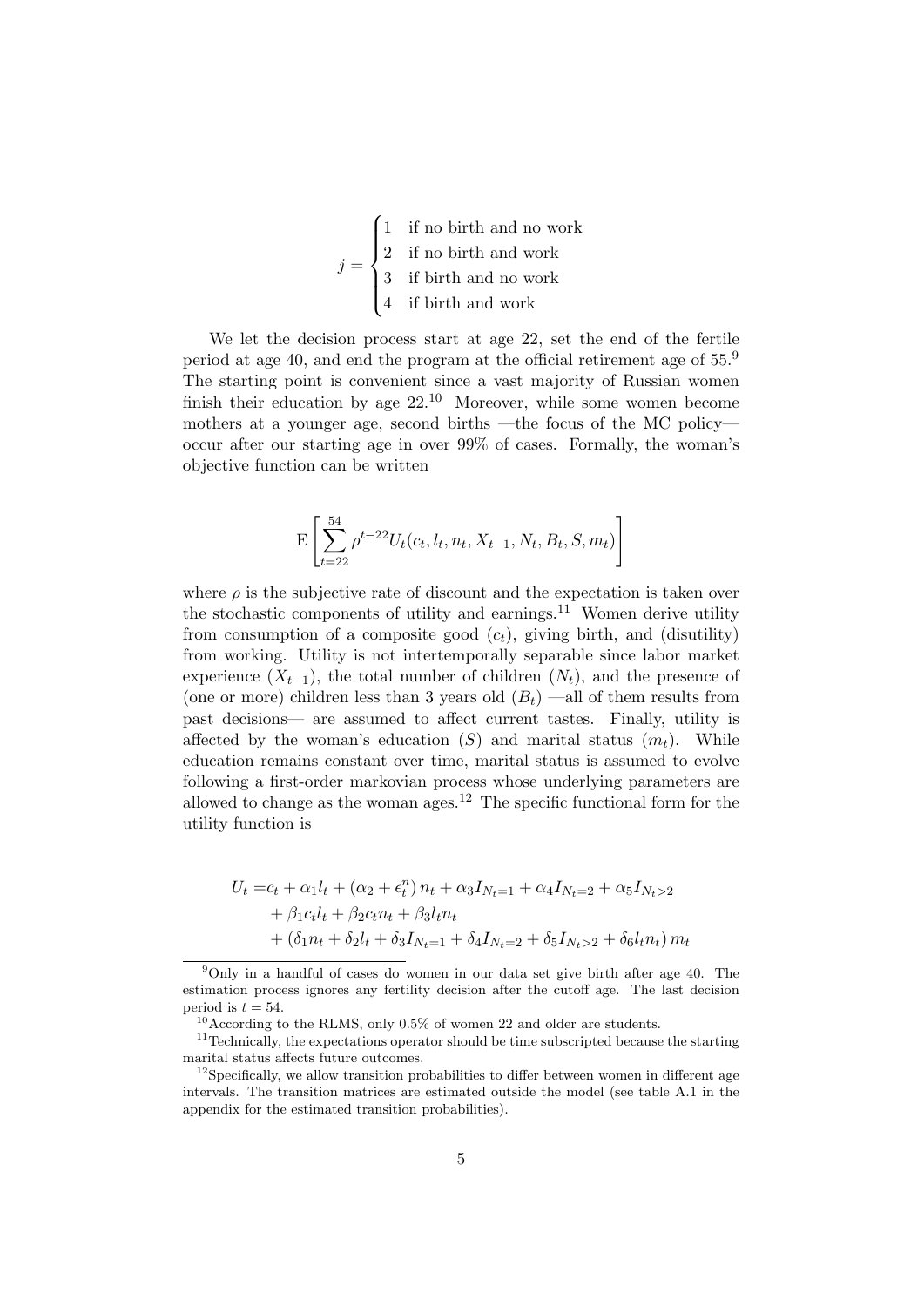|  | $\begin{bmatrix} 1 \\ 1 \end{bmatrix}$ if no birth and no work                                                                     |
|--|------------------------------------------------------------------------------------------------------------------------------------|
|  | $j = \begin{cases} 2 & \text{if no birth and work} \\ 3 & \text{if birth and no work} \\ 4 & \text{if birth and work} \end{cases}$ |
|  |                                                                                                                                    |

We let the decision process start at age 22, set the end of the fertile period at age 40, and end the program at the official retirement age of 55.<sup>9</sup> The starting point is convenient since a vast majority of Russian women finish their education by age  $22^{10}$  Moreover, while some women become mothers at a younger age, second births —the focus of the MC policy occur after our starting age in over 99% of cases. Formally, the woman's objective function can be written

$$
\mathbf{E}\left[\sum_{t=22}^{54}\rho^{t-22}U_t(c_t,l_t,n_t,X_{t-1},N_t,B_t,S,m_t)\right]
$$

where  $\rho$  is the subjective rate of discount and the expectation is taken over the stochastic components of utility and earnings.<sup>11</sup> Women derive utility from consumption of a composite good  $(c_t)$ , giving birth, and (disutility) from working. Utility is not intertemporally separable since labor market experience  $(X_{t-1})$ , the total number of children  $(N_t)$ , and the presence of (one or more) children less than 3 years old  $(B_t)$  —all of them results from past decisions— are assumed to affect current tastes. Finally, utility is affected by the woman's education  $(S)$  and marital status  $(m_t)$ . While education remains constant over time, marital status is assumed to evolve following a first-order markovian process whose underlying parameters are allowed to change as the woman ages.<sup>12</sup> The specific functional form for the utility function is

$$
U_t = c_t + \alpha_1 l_t + (\alpha_2 + \epsilon_t^n) n_t + \alpha_3 I_{N_t=1} + \alpha_4 I_{N_t=2} + \alpha_5 I_{N_t>2}
$$
  
+  $\beta_1 c_t l_t + \beta_2 c_t n_t + \beta_3 l_t n_t$   
+  $(\delta_1 n_t + \delta_2 l_t + \delta_3 I_{N_t=1} + \delta_4 I_{N_t=2} + \delta_5 I_{N_t>2} + \delta_6 l_t n_t) m_t$ 

<sup>9</sup>Only in a handful of cases do women in our data set give birth after age 40. The estimation process ignores any fertility decision after the cutoff age. The last decision period is  $t = 54$ .

 $10$ According to the RLMS, only 0.5% of women 22 and older are students.

 $11$ Technically, the expectations operator should be time subscripted because the starting marital status affects future outcomes.

 $12$ Specifically, we allow transition probabilities to differ between women in different age intervals. The transition matrices are estimated outside the model (see table A.1 in the appendix for the estimated transition probabilities).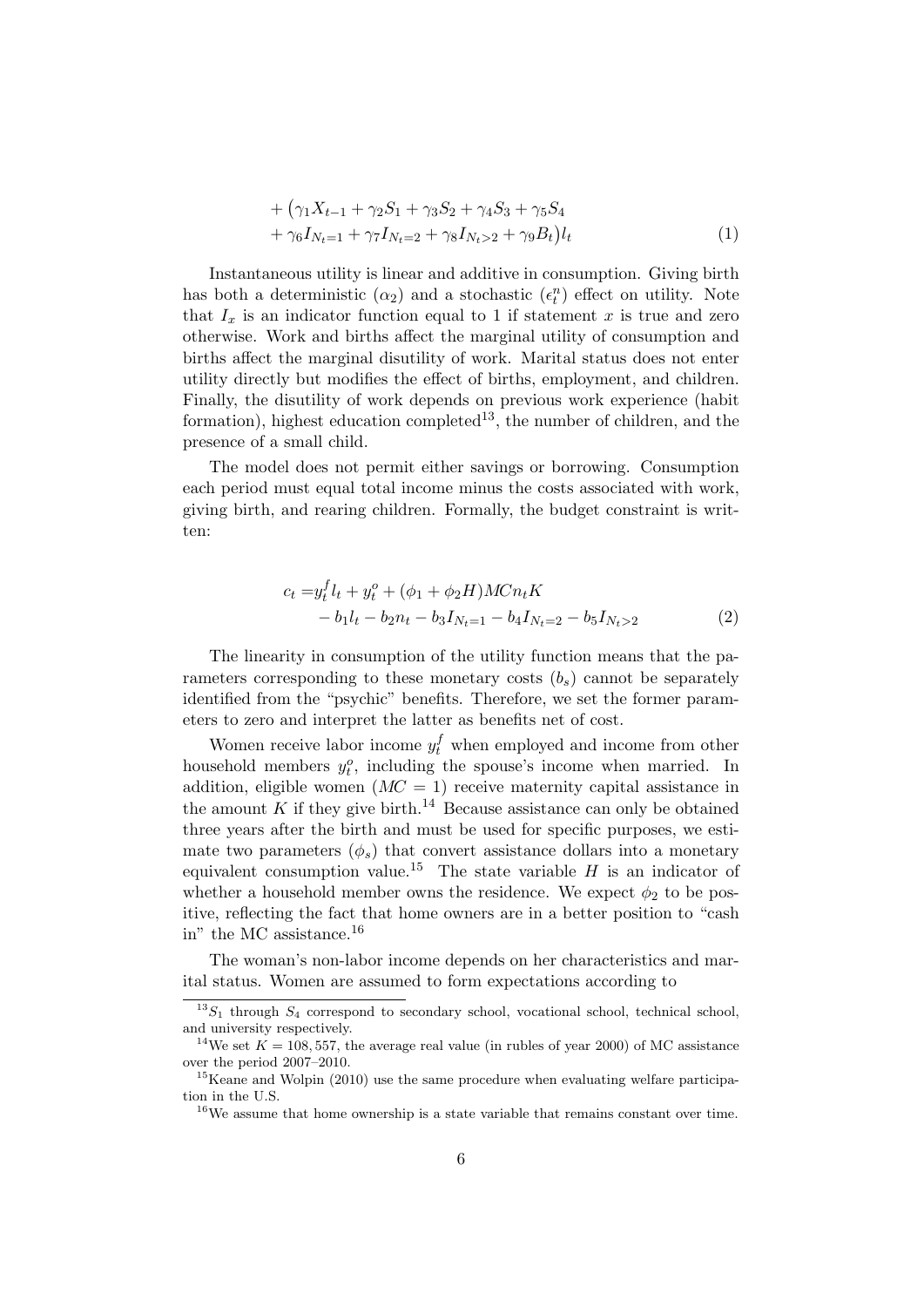+ 
$$
(\gamma_1 X_{t-1} + \gamma_2 S_1 + \gamma_3 S_2 + \gamma_4 S_3 + \gamma_5 S_4
$$
  
+  $\gamma_6 I_{N_t=1} + \gamma_7 I_{N_t=2} + \gamma_8 I_{N_t>2} + \gamma_9 B_t) l_t$  (1)

Instantaneous utility is linear and additive in consumption. Giving birth has both a deterministic  $(\alpha_2)$  and a stochastic  $(\epsilon_t^n)$  effect on utility. Note that  $I_x$  is an indicator function equal to 1 if statement x is true and zero otherwise. Work and births affect the marginal utility of consumption and births affect the marginal disutility of work. Marital status does not enter utility directly but modifies the effect of births, employment, and children. Finally, the disutility of work depends on previous work experience (habit formation), highest education completed<sup>13</sup>, the number of children, and the presence of a small child.

The model does not permit either savings or borrowing. Consumption each period must equal total income minus the costs associated with work, giving birth, and rearing children. Formally, the budget constraint is written:

$$
c_t = y_t^f l_t + y_t^o + (\phi_1 + \phi_2 H) M C n_t K - b_1 l_t - b_2 n_t - b_3 I_{N_t=1} - b_4 I_{N_t=2} - b_5 I_{N_t>2}
$$
\n(2)

The linearity in consumption of the utility function means that the parameters corresponding to these monetary costs  $(b_s)$  cannot be separately identified from the "psychic" benefits. Therefore, we set the former parameters to zero and interpret the latter as benefits net of cost.

Women receive labor income  $y_t^f$  when employed and income from other household members  $y_t^o$ , including the spouse's income when married. In addition, eligible women  $(MC = 1)$  receive maternity capital assistance in the amount K if they give birth.<sup>14</sup> Because assistance can only be obtained three years after the birth and must be used for specific purposes, we estimate two parameters  $(\phi_s)$  that convert assistance dollars into a monetary equivalent consumption value.<sup>15</sup> The state variable  $H$  is an indicator of whether a household member owns the residence. We expect  $\phi_2$  to be positive, reflecting the fact that home owners are in a better position to "cash in" the MC assistance.<sup>16</sup>

The woman's non-labor income depends on her characteristics and marital status. Women are assumed to form expectations according to

 $13S_1$  through  $S_4$  correspond to secondary school, vocational school, technical school, and university respectively.

<sup>&</sup>lt;sup>14</sup>We set  $K = 108, 557$ , the average real value (in rubles of year 2000) of MC assistance over the period 2007–2010.

<sup>&</sup>lt;sup>15</sup>Keane and Wolpin (2010) use the same procedure when evaluating welfare participation in the U.S.

 $16$ We assume that home ownership is a state variable that remains constant over time.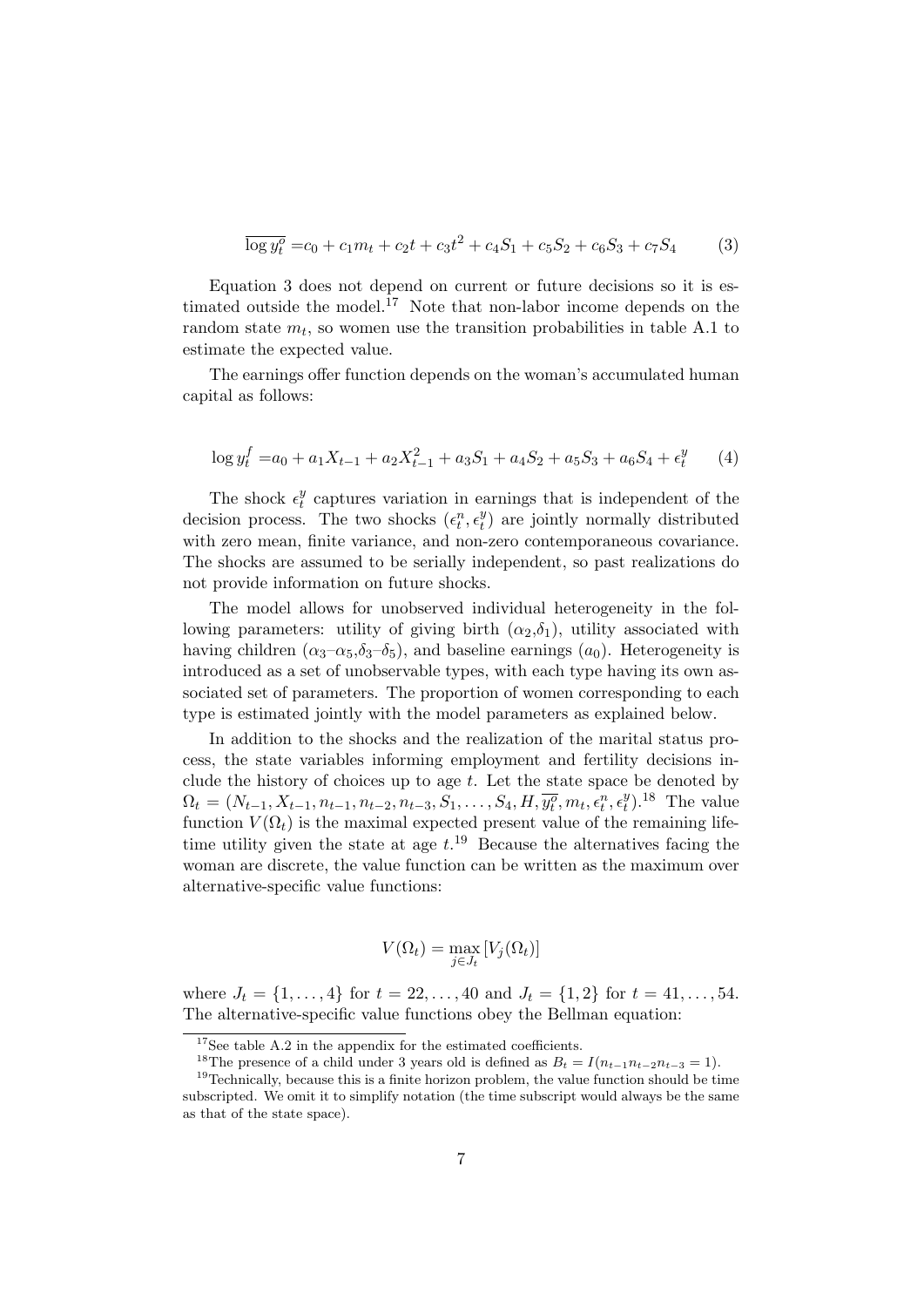$$
\overline{\log y_t^o} = c_0 + c_1 m_t + c_2 t + c_3 t^2 + c_4 S_1 + c_5 S_2 + c_6 S_3 + c_7 S_4 \tag{3}
$$

Equation 3 does not depend on current or future decisions so it is estimated outside the model.<sup>17</sup> Note that non-labor income depends on the random state  $m_t$ , so women use the transition probabilities in table A.1 to estimate the expected value.

The earnings offer function depends on the woman's accumulated human capital as follows:

$$
\log y_t^f = a_0 + a_1 X_{t-1} + a_2 X_{t-1}^2 + a_3 S_1 + a_4 S_2 + a_5 S_3 + a_6 S_4 + \epsilon_t^y \tag{4}
$$

The shock  $\epsilon_t^y$  $t<sub>t</sub><sup>y</sup>$  captures variation in earnings that is independent of the decision process. The two shocks  $(\epsilon_t^n, \epsilon_t^y)$  $t$ <sup>y</sup>) are jointly normally distributed with zero mean, finite variance, and non-zero contemporaneous covariance. The shocks are assumed to be serially independent, so past realizations do not provide information on future shocks.

The model allows for unobserved individual heterogeneity in the following parameters: utility of giving birth  $(\alpha_2,\delta_1)$ , utility associated with having children  $(\alpha_3-\alpha_5,\delta_3-\delta_5)$ , and baseline earnings  $(a_0)$ . Heterogeneity is introduced as a set of unobservable types, with each type having its own associated set of parameters. The proportion of women corresponding to each type is estimated jointly with the model parameters as explained below.

In addition to the shocks and the realization of the marital status process, the state variables informing employment and fertility decisions include the history of choices up to age  $t$ . Let the state space be denoted by  $\Omega_t = (N_{t-1}, X_{t-1}, n_{t-1}, n_{t-2}, n_{t-3}, S_1, \ldots, S_4, H, \overline{y_t^o}, m_t, \overline{\epsilon_t^n}, \epsilon_t^y)$  $\binom{y}{t}$ .<sup>18</sup> The value function  $V(\Omega_t)$  is the maximal expected present value of the remaining lifetime utility given the state at age  $t^{19}$ . Because the alternatives facing the woman are discrete, the value function can be written as the maximum over alternative-specific value functions:

$$
V(\Omega_t) = \max_{j \in J_t} [V_j(\Omega_t)]
$$

where  $J_t = \{1, \ldots, 4\}$  for  $t = 22, \ldots, 40$  and  $J_t = \{1, 2\}$  for  $t = 41, \ldots, 54$ . The alternative-specific value functions obey the Bellman equation:

 $17$ See table A.2 in the appendix for the estimated coefficients.

<sup>&</sup>lt;sup>18</sup>The presence of a child under 3 years old is defined as  $B_t = I(n_{t-1}n_{t-2}n_{t-3} = 1)$ .

 $19$ Technically, because this is a finite horizon problem, the value function should be time subscripted. We omit it to simplify notation (the time subscript would always be the same as that of the state space).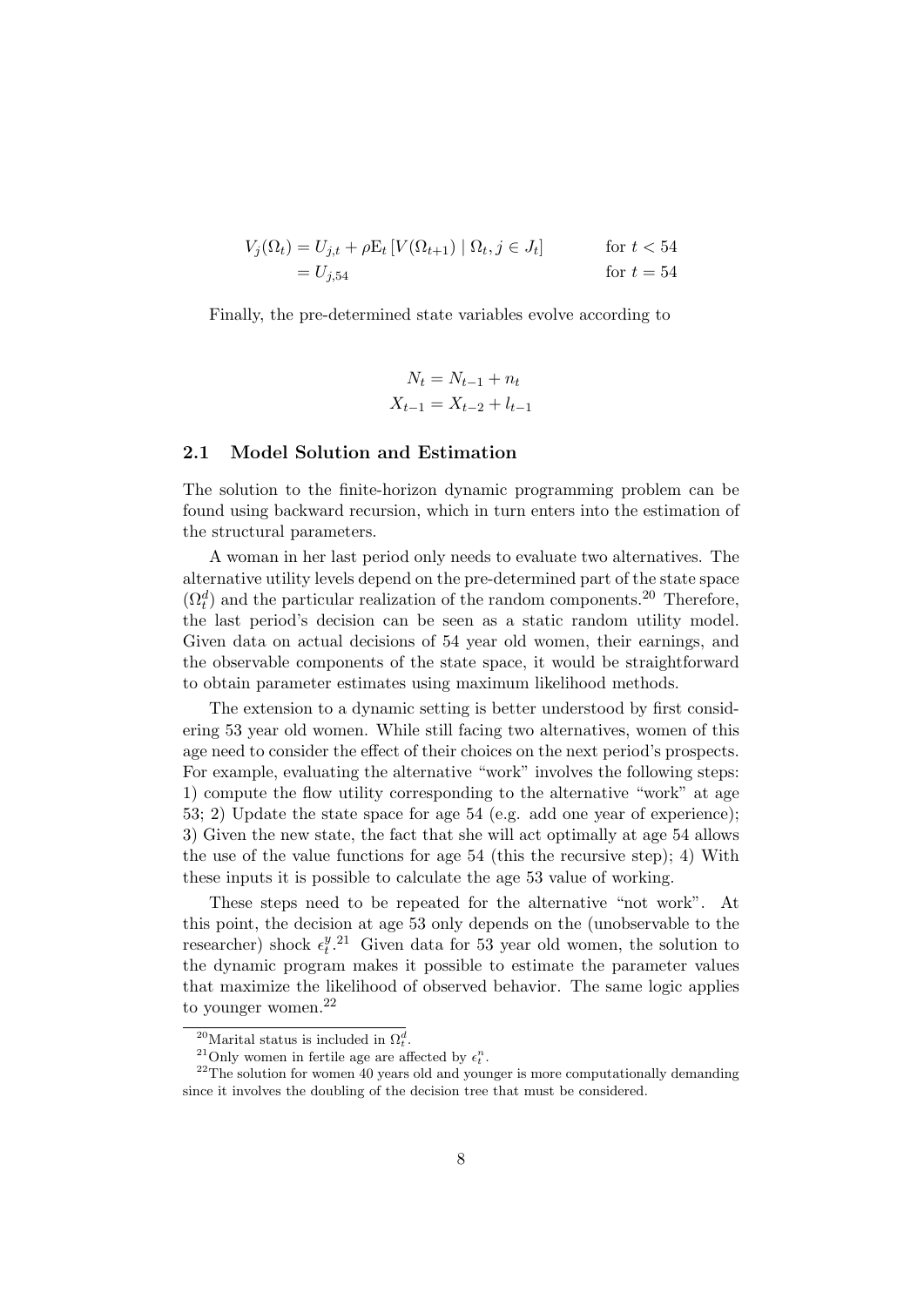$$
V_j(\Omega_t) = U_{j,t} + \rho \mathbb{E}_t \left[ V(\Omega_{t+1}) \mid \Omega_t, j \in J_t \right] \qquad \text{for } t < 54
$$
  
=  $U_{j,54}$  for  $t = 54$ 

Finally, the pre-determined state variables evolve according to

$$
N_t = N_{t-1} + n_t
$$
  

$$
X_{t-1} = X_{t-2} + l_{t-1}
$$

#### 2.1 Model Solution and Estimation

The solution to the finite-horizon dynamic programming problem can be found using backward recursion, which in turn enters into the estimation of the structural parameters.

A woman in her last period only needs to evaluate two alternatives. The alternative utility levels depend on the pre-determined part of the state space  $(\Omega_t^d)$  and the particular realization of the random components.<sup>20</sup> Therefore, the last period's decision can be seen as a static random utility model. Given data on actual decisions of 54 year old women, their earnings, and the observable components of the state space, it would be straightforward to obtain parameter estimates using maximum likelihood methods.

The extension to a dynamic setting is better understood by first considering 53 year old women. While still facing two alternatives, women of this age need to consider the effect of their choices on the next period's prospects. For example, evaluating the alternative "work" involves the following steps: 1) compute the flow utility corresponding to the alternative "work" at age 53; 2) Update the state space for age 54 (e.g. add one year of experience); 3) Given the new state, the fact that she will act optimally at age 54 allows the use of the value functions for age 54 (this the recursive step); 4) With these inputs it is possible to calculate the age 53 value of working.

These steps need to be repeated for the alternative "not work". At this point, the decision at age 53 only depends on the (unobservable to the researcher) shock  $\epsilon_t^y$  $t^{(y, 21)}$  Given data for 53 year old women, the solution to the dynamic program makes it possible to estimate the parameter values that maximize the likelihood of observed behavior. The same logic applies to younger women.<sup>22</sup>

<sup>&</sup>lt;sup>20</sup>Marital status is included in  $\Omega_t^d$ .

<sup>&</sup>lt;sup>21</sup>Only women in fertile age are affected by  $\epsilon_t^n$ .

 $22$ <sup>22</sup>The solution for women 40 years old and younger is more computationally demanding since it involves the doubling of the decision tree that must be considered.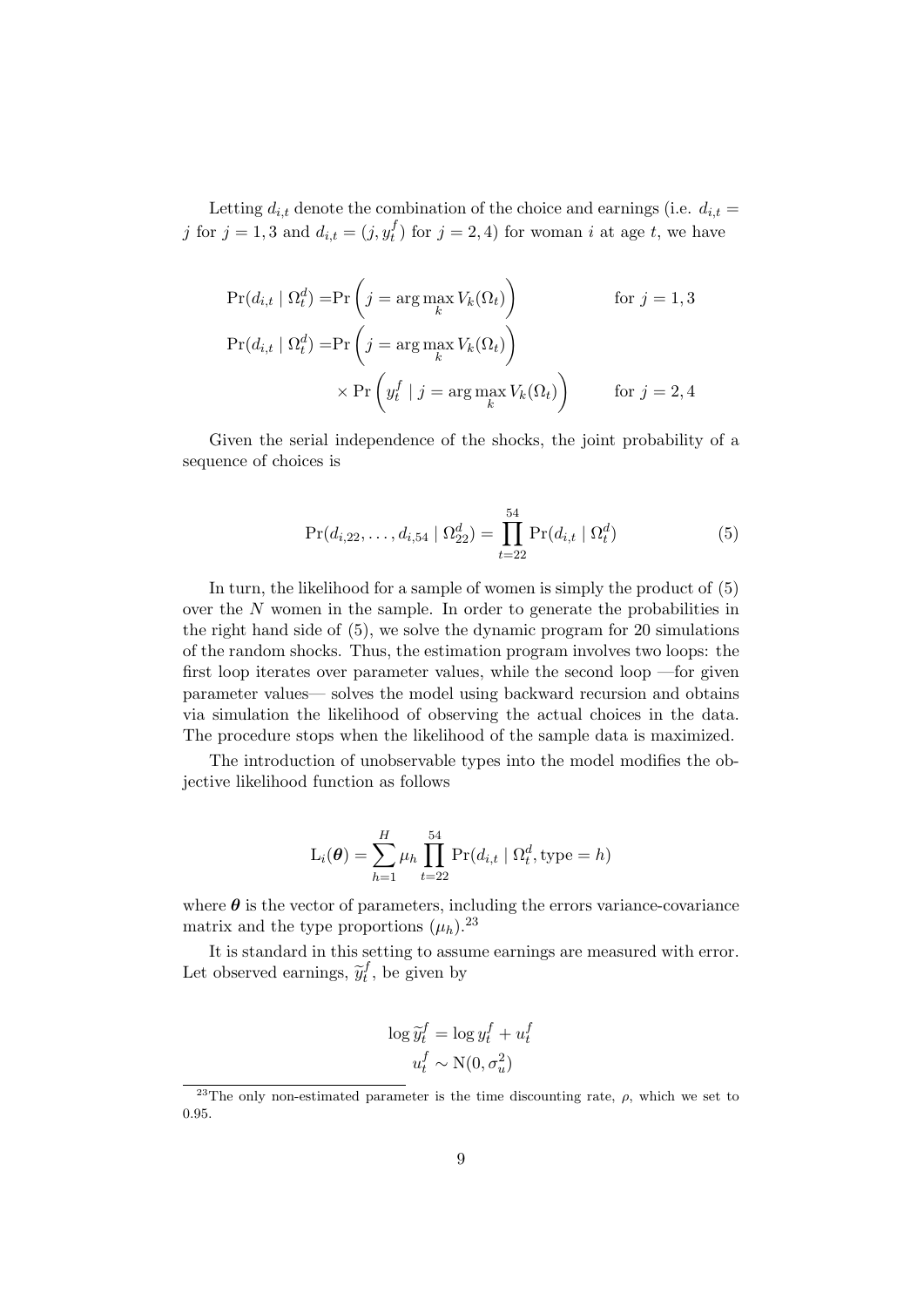Letting  $d_{i,t}$  denote the combination of the choice and earnings (i.e.  $d_{i,t}$  = j for  $j = 1, 3$  and  $d_{i,t} = (j, y_t^f)$  for  $j = 2, 4$ ) for woman i at age t, we have

$$
\Pr(d_{i,t} | \Omega_t^d) = \Pr\left(j = \arg\max_k V_k(\Omega_t)\right) \qquad \text{for } j = 1, 3
$$
  

$$
\Pr(d_{i,t} | \Omega_t^d) = \Pr\left(j = \arg\max_k V_k(\Omega_t)\right)
$$
  

$$
\times \Pr\left(y_t^f | j = \arg\max_k V_k(\Omega_t)\right) \qquad \text{for } j = 2, 4
$$

Given the serial independence of the shocks, the joint probability of a sequence of choices is

$$
Pr(d_{i,22},...,d_{i,54} | \Omega_{22}^d) = \prod_{t=22}^{54} Pr(d_{i,t} | \Omega_t^d)
$$
 (5)

In turn, the likelihood for a sample of women is simply the product of (5) over the  $N$  women in the sample. In order to generate the probabilities in the right hand side of (5), we solve the dynamic program for 20 simulations of the random shocks. Thus, the estimation program involves two loops: the first loop iterates over parameter values, while the second loop —for given parameter values— solves the model using backward recursion and obtains via simulation the likelihood of observing the actual choices in the data. The procedure stops when the likelihood of the sample data is maximized.

The introduction of unobservable types into the model modifies the objective likelihood function as follows

$$
L_i(\boldsymbol{\theta}) = \sum_{h=1}^H \mu_h \prod_{t=22}^{54} Pr(d_{i,t} | \Omega_t^d, \text{type} = h)
$$

where  $\theta$  is the vector of parameters, including the errors variance-covariance matrix and the type proportions  $(\mu_h)$ .<sup>23</sup>

It is standard in this setting to assume earnings are measured with error. Let observed earnings,  $\widetilde{y}_t^f$  $t_t^J$ , be given by

$$
\log \widetilde{y}_t^f = \log y_t^f + u_t^f
$$

$$
u_t^f \sim \mathcal{N}(0, \sigma_u^2)
$$

<sup>&</sup>lt;sup>23</sup>The only non-estimated parameter is the time discounting rate,  $\rho$ , which we set to 0.95.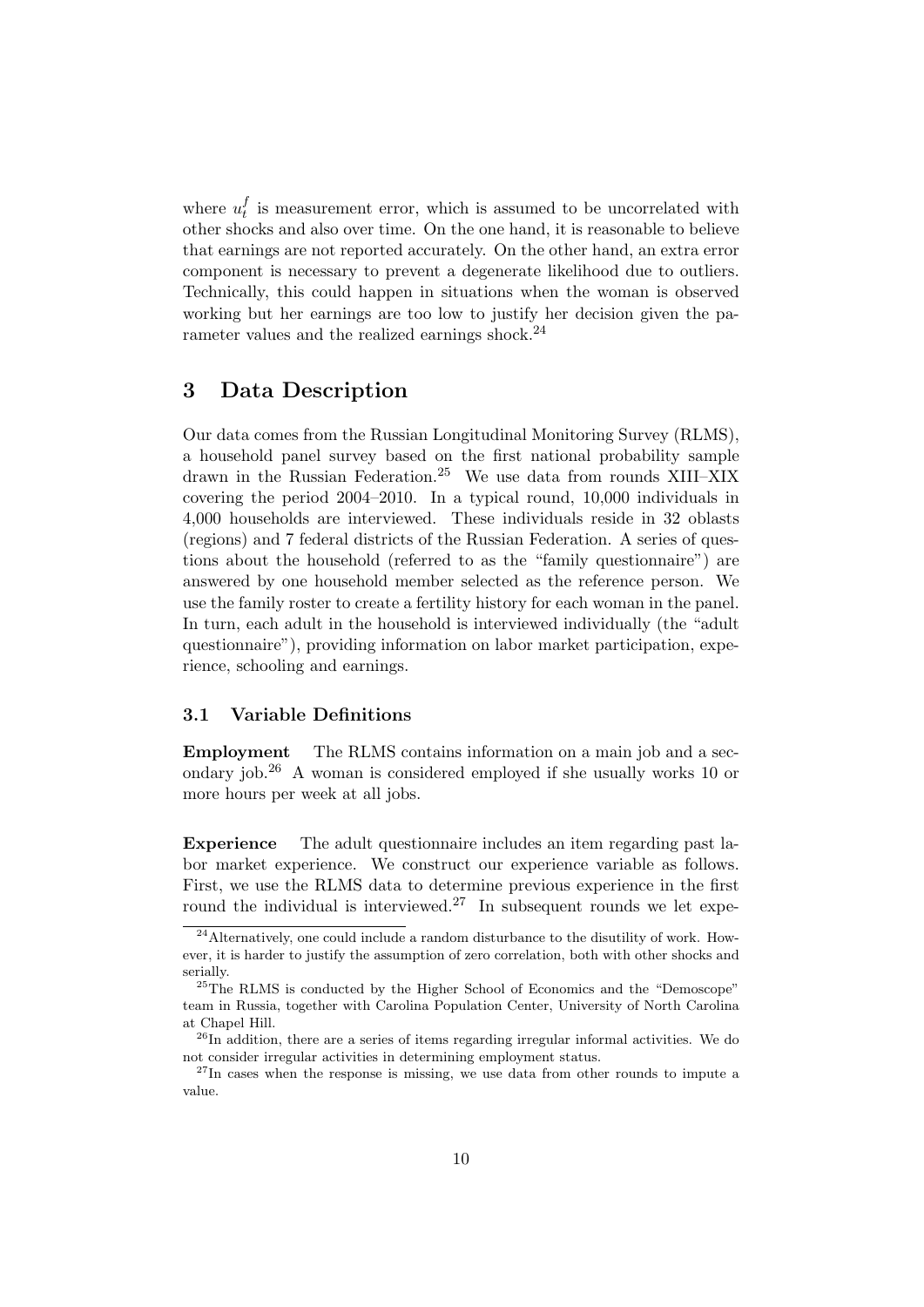where  $u_t^f$  $t<sub>t</sub>$  is measurement error, which is assumed to be uncorrelated with other shocks and also over time. On the one hand, it is reasonable to believe that earnings are not reported accurately. On the other hand, an extra error component is necessary to prevent a degenerate likelihood due to outliers. Technically, this could happen in situations when the woman is observed working but her earnings are too low to justify her decision given the parameter values and the realized earnings shock.<sup>24</sup>

### 3 Data Description

Our data comes from the Russian Longitudinal Monitoring Survey (RLMS), a household panel survey based on the first national probability sample drawn in the Russian Federation.<sup>25</sup> We use data from rounds XIII–XIX covering the period 2004–2010. In a typical round, 10,000 individuals in 4,000 households are interviewed. These individuals reside in 32 oblasts (regions) and 7 federal districts of the Russian Federation. A series of questions about the household (referred to as the "family questionnaire") are answered by one household member selected as the reference person. We use the family roster to create a fertility history for each woman in the panel. In turn, each adult in the household is interviewed individually (the "adult questionnaire"), providing information on labor market participation, experience, schooling and earnings.

#### 3.1 Variable Definitions

Employment The RLMS contains information on a main job and a secondary job.<sup>26</sup> A woman is considered employed if she usually works 10 or more hours per week at all jobs.

Experience The adult questionnaire includes an item regarding past labor market experience. We construct our experience variable as follows. First, we use the RLMS data to determine previous experience in the first round the individual is interviewed.<sup>27</sup> In subsequent rounds we let expe-

 $^{24}$ Alternatively, one could include a random disturbance to the disutility of work. However, it is harder to justify the assumption of zero correlation, both with other shocks and serially.

<sup>&</sup>lt;sup>25</sup>The RLMS is conducted by the Higher School of Economics and the "Demoscope" team in Russia, together with Carolina Population Center, University of North Carolina at Chapel Hill.

 $^{26}$ In addition, there are a series of items regarding irregular informal activities. We do not consider irregular activities in determining employment status.

 $27$ In cases when the response is missing, we use data from other rounds to impute a value.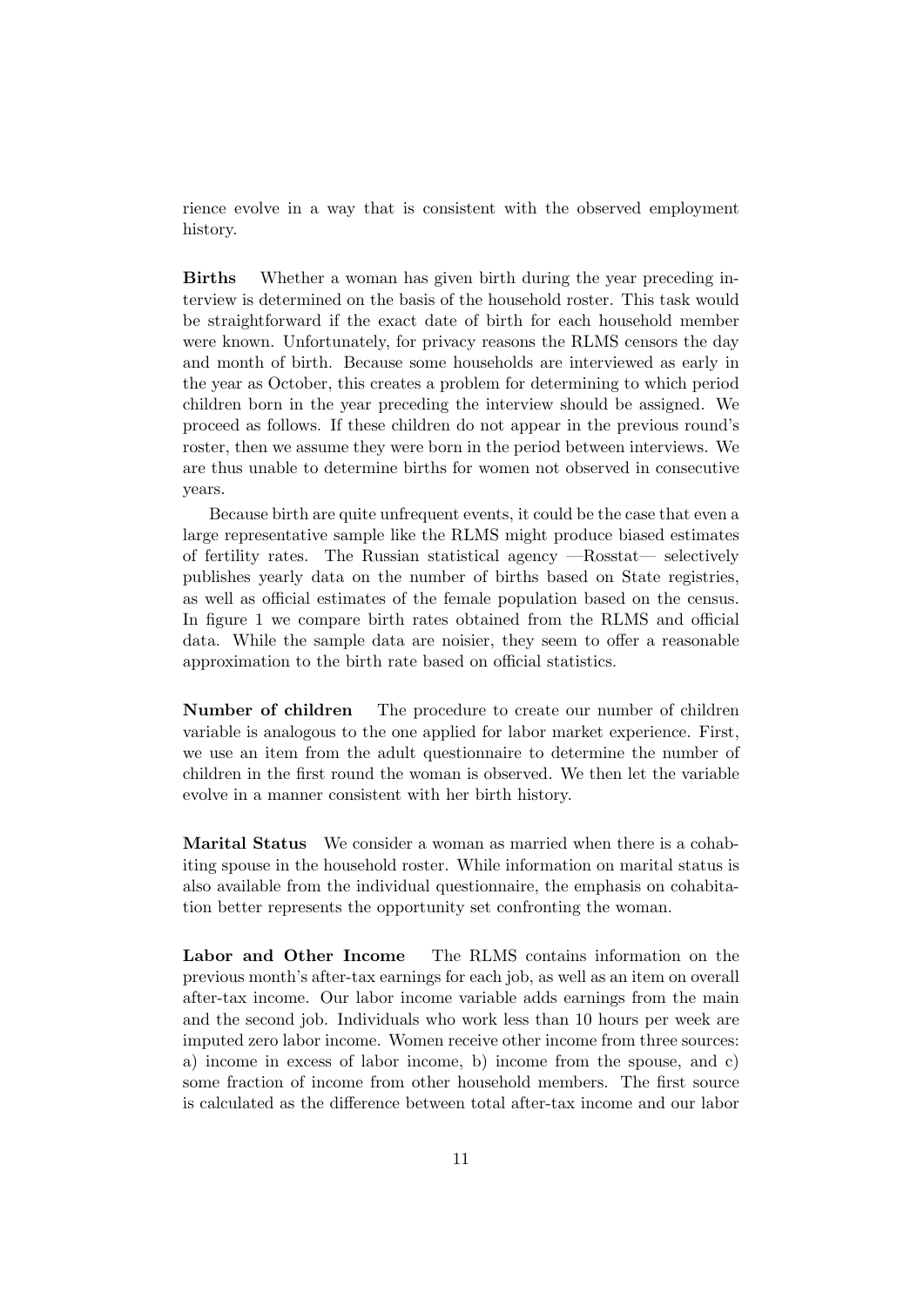rience evolve in a way that is consistent with the observed employment history.

Births Whether a woman has given birth during the year preceding interview is determined on the basis of the household roster. This task would be straightforward if the exact date of birth for each household member were known. Unfortunately, for privacy reasons the RLMS censors the day and month of birth. Because some households are interviewed as early in the year as October, this creates a problem for determining to which period children born in the year preceding the interview should be assigned. We proceed as follows. If these children do not appear in the previous round's roster, then we assume they were born in the period between interviews. We are thus unable to determine births for women not observed in consecutive years.

Because birth are quite unfrequent events, it could be the case that even a large representative sample like the RLMS might produce biased estimates of fertility rates. The Russian statistical agency —Rosstat— selectively publishes yearly data on the number of births based on State registries, as well as official estimates of the female population based on the census. In figure 1 we compare birth rates obtained from the RLMS and official data. While the sample data are noisier, they seem to offer a reasonable approximation to the birth rate based on official statistics.

Number of children The procedure to create our number of children variable is analogous to the one applied for labor market experience. First, we use an item from the adult questionnaire to determine the number of children in the first round the woman is observed. We then let the variable evolve in a manner consistent with her birth history.

Marital Status We consider a woman as married when there is a cohabiting spouse in the household roster. While information on marital status is also available from the individual questionnaire, the emphasis on cohabitation better represents the opportunity set confronting the woman.

Labor and Other Income The RLMS contains information on the previous month's after-tax earnings for each job, as well as an item on overall after-tax income. Our labor income variable adds earnings from the main and the second job. Individuals who work less than 10 hours per week are imputed zero labor income. Women receive other income from three sources: a) income in excess of labor income, b) income from the spouse, and c) some fraction of income from other household members. The first source is calculated as the difference between total after-tax income and our labor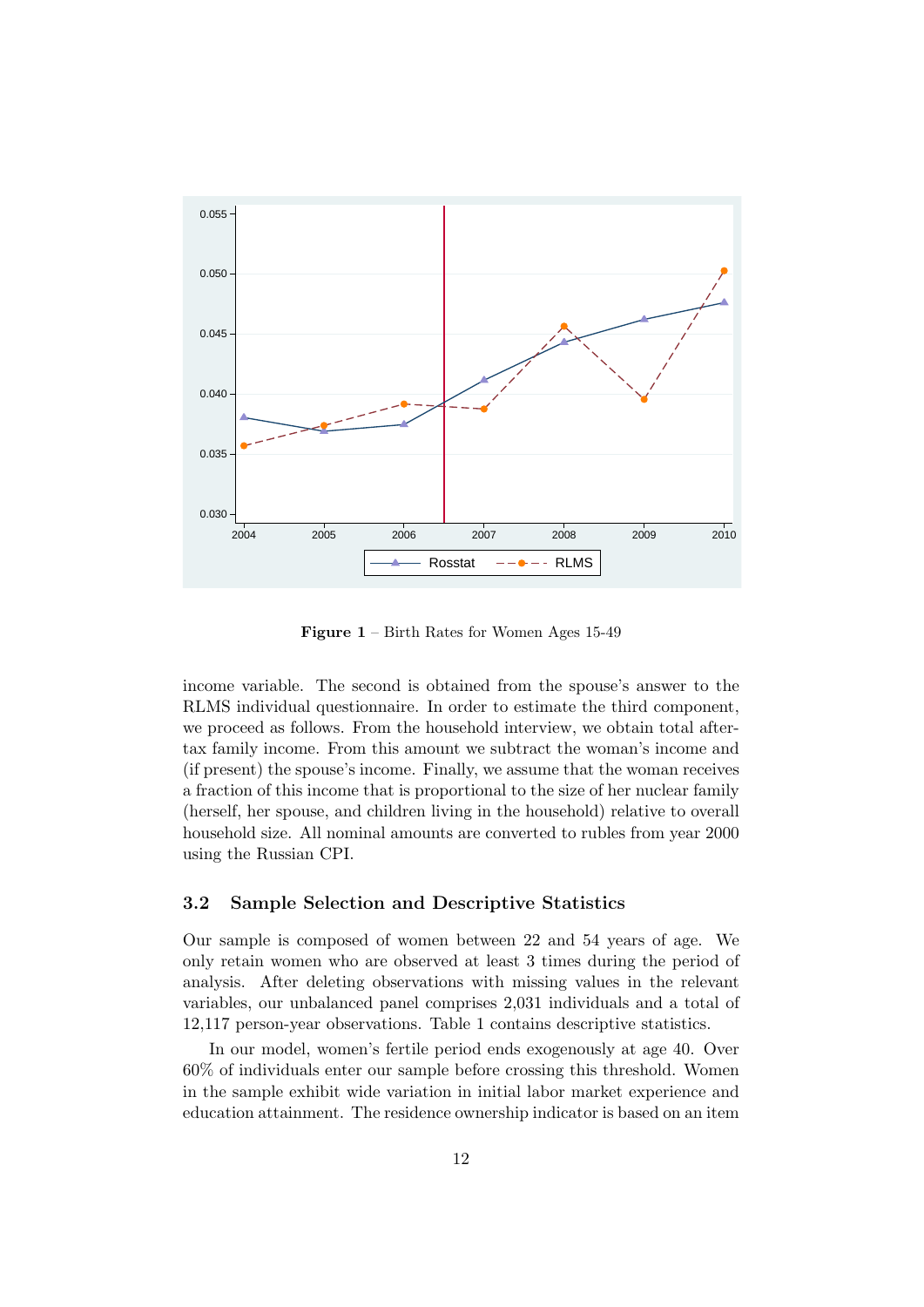

Figure 1 – Birth Rates for Women Ages 15-49

income variable. The second is obtained from the spouse's answer to the RLMS individual questionnaire. In order to estimate the third component, we proceed as follows. From the household interview, we obtain total aftertax family income. From this amount we subtract the woman's income and (if present) the spouse's income. Finally, we assume that the woman receives a fraction of this income that is proportional to the size of her nuclear family (herself, her spouse, and children living in the household) relative to overall household size. All nominal amounts are converted to rubles from year 2000 using the Russian CPI.

#### 3.2 Sample Selection and Descriptive Statistics

Our sample is composed of women between 22 and 54 years of age. We only retain women who are observed at least 3 times during the period of analysis. After deleting observations with missing values in the relevant variables, our unbalanced panel comprises 2,031 individuals and a total of 12,117 person-year observations. Table 1 contains descriptive statistics.

In our model, women's fertile period ends exogenously at age 40. Over 60% of individuals enter our sample before crossing this threshold. Women in the sample exhibit wide variation in initial labor market experience and education attainment. The residence ownership indicator is based on an item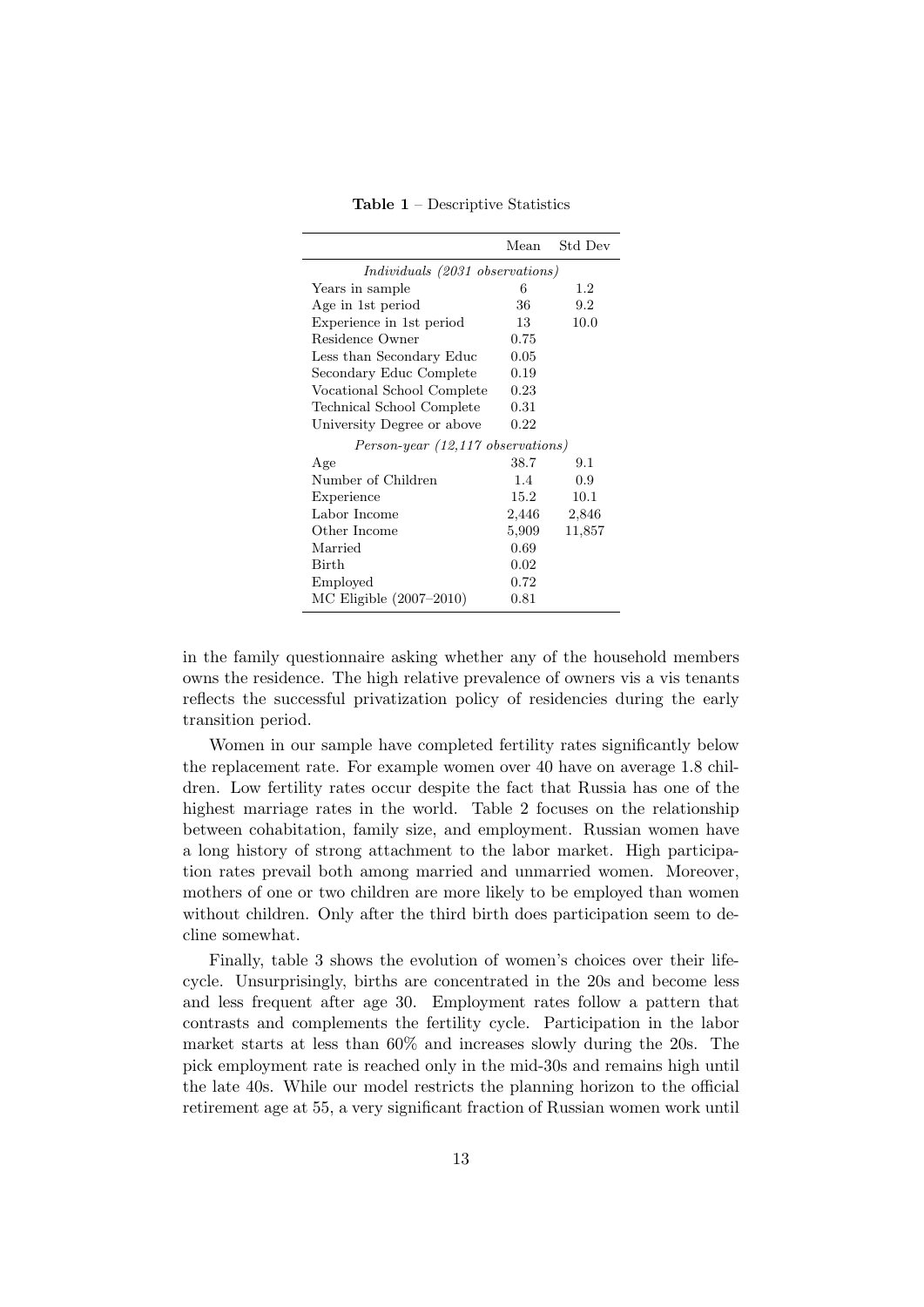Table 1 – Descriptive Statistics

|                                            | Mean  | Std Dev |
|--------------------------------------------|-------|---------|
| <i>Individuals (2031 observations)</i>     |       |         |
| Years in sample                            | 6     | $1.2\,$ |
| Age in 1st period                          | 36    | 9.2     |
| Experience in 1st period                   | 13    | 10.0    |
| Residence Owner                            | 0.75  |         |
| Less than Secondary Educ                   | 0.05  |         |
| Secondary Educ Complete                    | 0.19  |         |
| Vocational School Complete                 | 0.23  |         |
| Technical School Complete                  | 0.31  |         |
| University Degree or above                 | 0.22  |         |
| $Person\text{-}year (12,117 observations)$ |       |         |
| Age                                        | 38.7  | 9.1     |
| Number of Children                         | 1.4   | 0.9     |
| Experience                                 | 15.2  | 10.1    |
| Labor Income                               | 2,446 | 2,846   |
| Other Income                               | 5,909 | 11,857  |
| Married                                    | 0.69  |         |
| <b>Birth</b>                               | 0.02  |         |
| Employed                                   | 0.72  |         |
| $MC$ Eligible $(2007-2010)$                | 0.81  |         |

in the family questionnaire asking whether any of the household members owns the residence. The high relative prevalence of owners vis a vis tenants reflects the successful privatization policy of residencies during the early transition period.

Women in our sample have completed fertility rates significantly below the replacement rate. For example women over 40 have on average 1.8 children. Low fertility rates occur despite the fact that Russia has one of the highest marriage rates in the world. Table 2 focuses on the relationship between cohabitation, family size, and employment. Russian women have a long history of strong attachment to the labor market. High participation rates prevail both among married and unmarried women. Moreover, mothers of one or two children are more likely to be employed than women without children. Only after the third birth does participation seem to decline somewhat.

Finally, table 3 shows the evolution of women's choices over their lifecycle. Unsurprisingly, births are concentrated in the 20s and become less and less frequent after age 30. Employment rates follow a pattern that contrasts and complements the fertility cycle. Participation in the labor market starts at less than 60% and increases slowly during the 20s. The pick employment rate is reached only in the mid-30s and remains high until the late 40s. While our model restricts the planning horizon to the official retirement age at 55, a very significant fraction of Russian women work until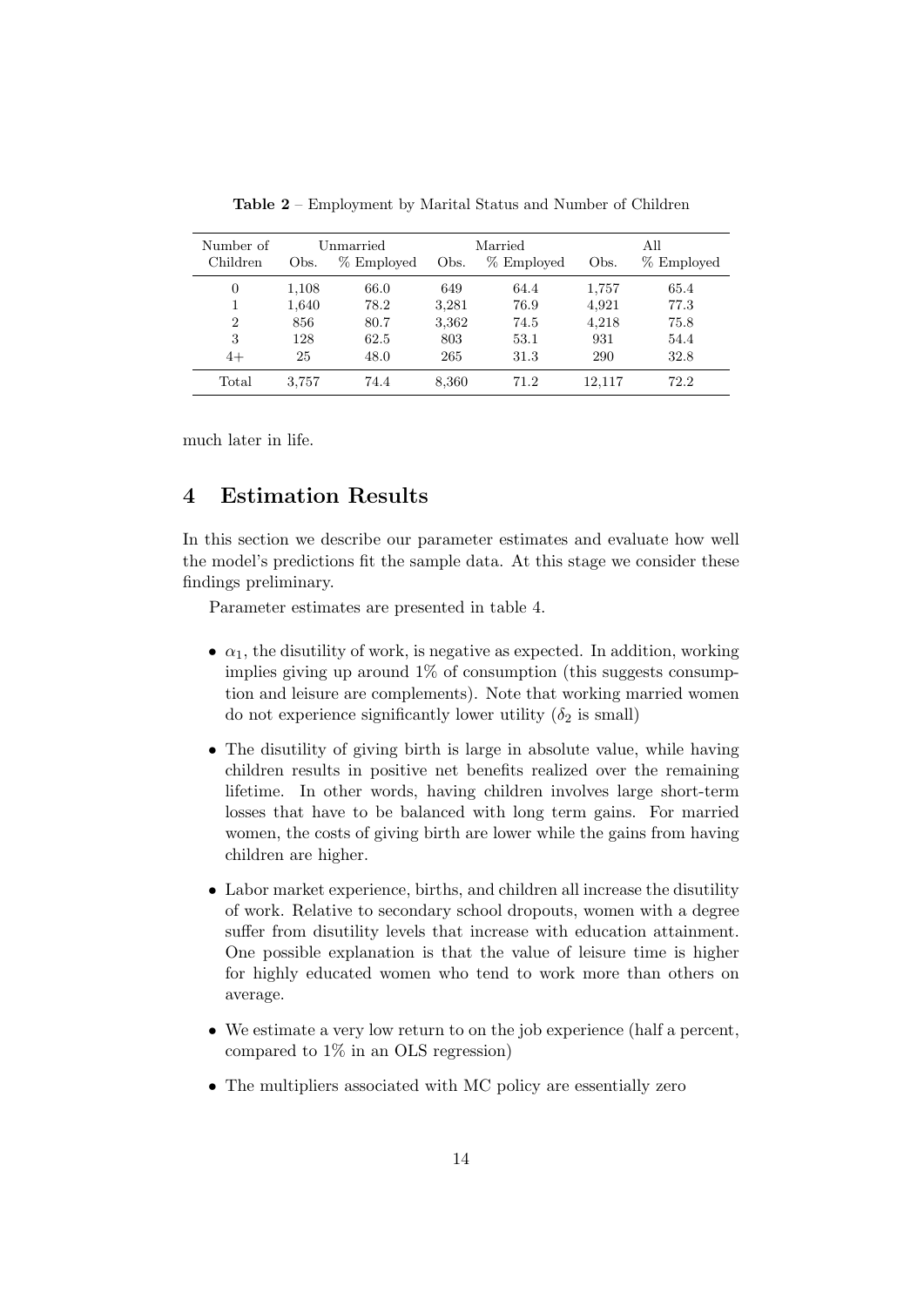| Number of      |       | Unmarried  |       | Married    |        | All        |
|----------------|-------|------------|-------|------------|--------|------------|
| Children       | Obs.  | % Employed | Obs.  | % Employed | Obs.   | % Employed |
| 0              | 1,108 | 66.0       | 649   | 64.4       | 1,757  | 65.4       |
|                | 1,640 | 78.2       | 3,281 | 76.9       | 4,921  | 77.3       |
| $\overline{2}$ | 856   | 80.7       | 3,362 | 74.5       | 4,218  | 75.8       |
| 3              | 128   | 62.5       | 803   | 53.1       | 931    | 54.4       |
| $4+$           | 25    | 48.0       | 265   | 31.3       | 290    | 32.8       |
| Total          | 3,757 | 74.4       | 8,360 | 71.2       | 12.117 | 72.2       |

Table 2 – Employment by Marital Status and Number of Children

much later in life.

## 4 Estimation Results

In this section we describe our parameter estimates and evaluate how well the model's predictions fit the sample data. At this stage we consider these findings preliminary.

Parameter estimates are presented in table 4.

- $\alpha_1$ , the disutility of work, is negative as expected. In addition, working implies giving up around  $1\%$  of consumption (this suggests consumption and leisure are complements). Note that working married women do not experience significantly lower utility  $(\delta_2$  is small)
- The disutility of giving birth is large in absolute value, while having children results in positive net benefits realized over the remaining lifetime. In other words, having children involves large short-term losses that have to be balanced with long term gains. For married women, the costs of giving birth are lower while the gains from having children are higher.
- Labor market experience, births, and children all increase the disutility of work. Relative to secondary school dropouts, women with a degree suffer from disutility levels that increase with education attainment. One possible explanation is that the value of leisure time is higher for highly educated women who tend to work more than others on average.
- We estimate a very low return to on the job experience (half a percent, compared to 1% in an OLS regression)
- The multipliers associated with MC policy are essentially zero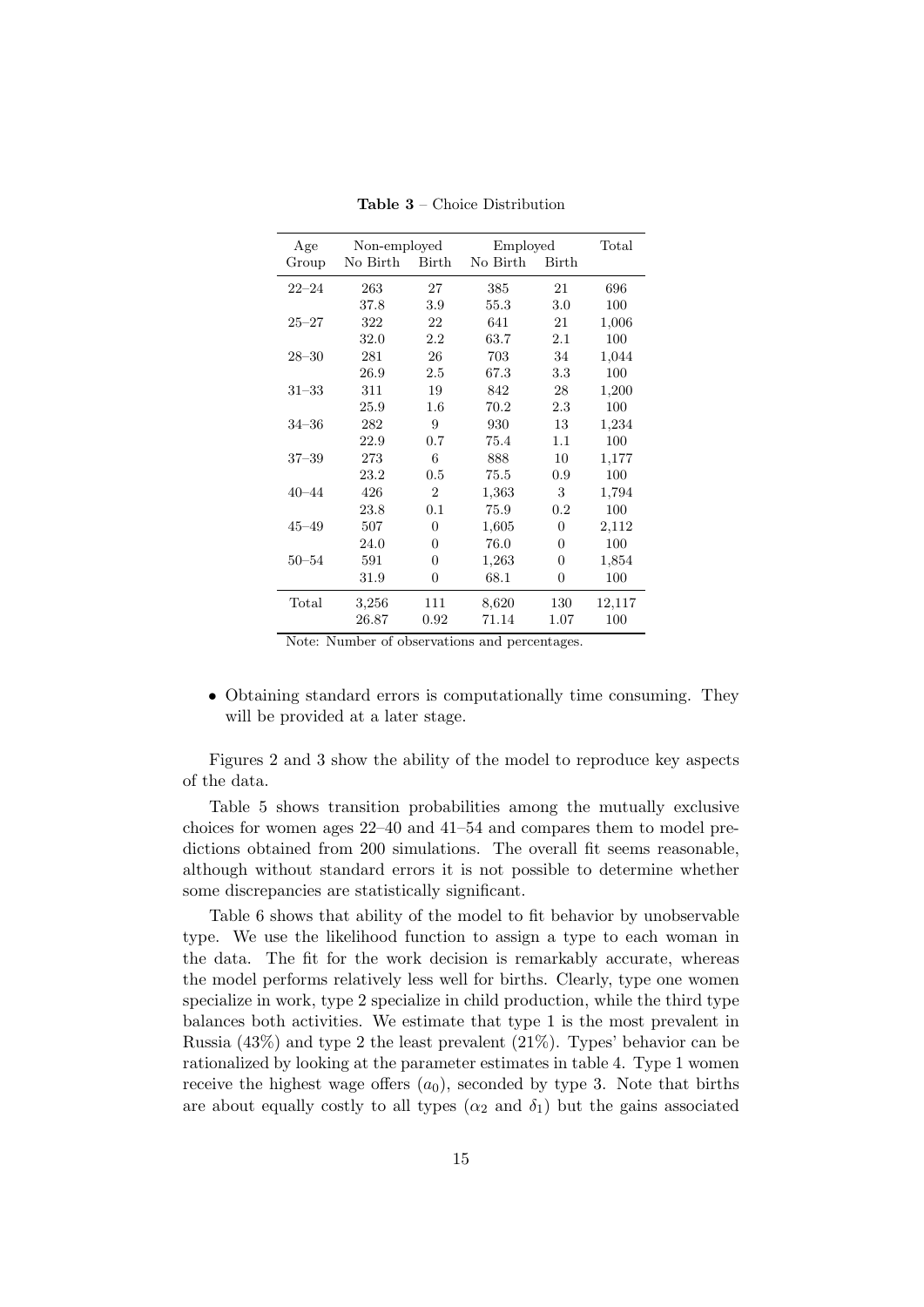| Age       | Non-employed   |                | Employed |              | Total  |
|-----------|----------------|----------------|----------|--------------|--------|
| Group     | No Birth Birth |                | No Birth | <b>Birth</b> |        |
| $22 - 24$ | 263            | 27             | 385      | 21           | 696    |
|           | 37.8           | 3.9            | 55.3     | 3.0          | 100    |
| $25 - 27$ | 322            | 22             | 641      | 21           | 1,006  |
|           | 32.0           | 2.2            | 63.7     | 2.1          | 100    |
| $28 - 30$ | 281            | 26             | 703      | 34           | 1,044  |
|           | 26.9           | 2.5            | 67.3     | 3.3          | 100    |
| $31 - 33$ | 311            | 19             | 842      | 28           | 1,200  |
|           | 25.9           | 1.6            | 70.2     | 2.3          | 100    |
| $34 - 36$ | 282            | 9              | 930      | 13           | 1,234  |
|           | 22.9           | 0.7            | 75.4     | 1.1          | 100    |
| $37 - 39$ | 273            | 6              | 888      | 10           | 1,177  |
|           | 23.2           | 0.5            | 75.5     | 0.9          | 100    |
| $40 - 44$ | 426            | $\overline{2}$ | 1,363    | 3            | 1,794  |
|           | 23.8           | 0.1            | 75.9     | 0.2          | 100    |
| $45 - 49$ | 507            | $\theta$       | 1,605    | 0            | 2,112  |
|           | 24.0           | 0              | 76.0     | 0            | 100    |
| $50 - 54$ | 591            | $\overline{0}$ | 1,263    | 0            | 1,854  |
|           | 31.9           | 0              | 68.1     | 0            | 100    |
| Total     | 3,256          | 111            | 8,620    | 130          | 12,117 |
|           | 26.87          | 0.92           | 71.14    | 1.07         | 100    |

Table 3 – Choice Distribution

Note: Number of observations and percentages.

• Obtaining standard errors is computationally time consuming. They will be provided at a later stage.

Figures 2 and 3 show the ability of the model to reproduce key aspects of the data.

Table 5 shows transition probabilities among the mutually exclusive choices for women ages 22–40 and 41–54 and compares them to model predictions obtained from 200 simulations. The overall fit seems reasonable, although without standard errors it is not possible to determine whether some discrepancies are statistically significant.

Table 6 shows that ability of the model to fit behavior by unobservable type. We use the likelihood function to assign a type to each woman in the data. The fit for the work decision is remarkably accurate, whereas the model performs relatively less well for births. Clearly, type one women specialize in work, type 2 specialize in child production, while the third type balances both activities. We estimate that type 1 is the most prevalent in Russia (43%) and type 2 the least prevalent (21%). Types' behavior can be rationalized by looking at the parameter estimates in table 4. Type 1 women receive the highest wage offers  $(a_0)$ , seconded by type 3. Note that births are about equally costly to all types  $(\alpha_2 \text{ and } \delta_1)$  but the gains associated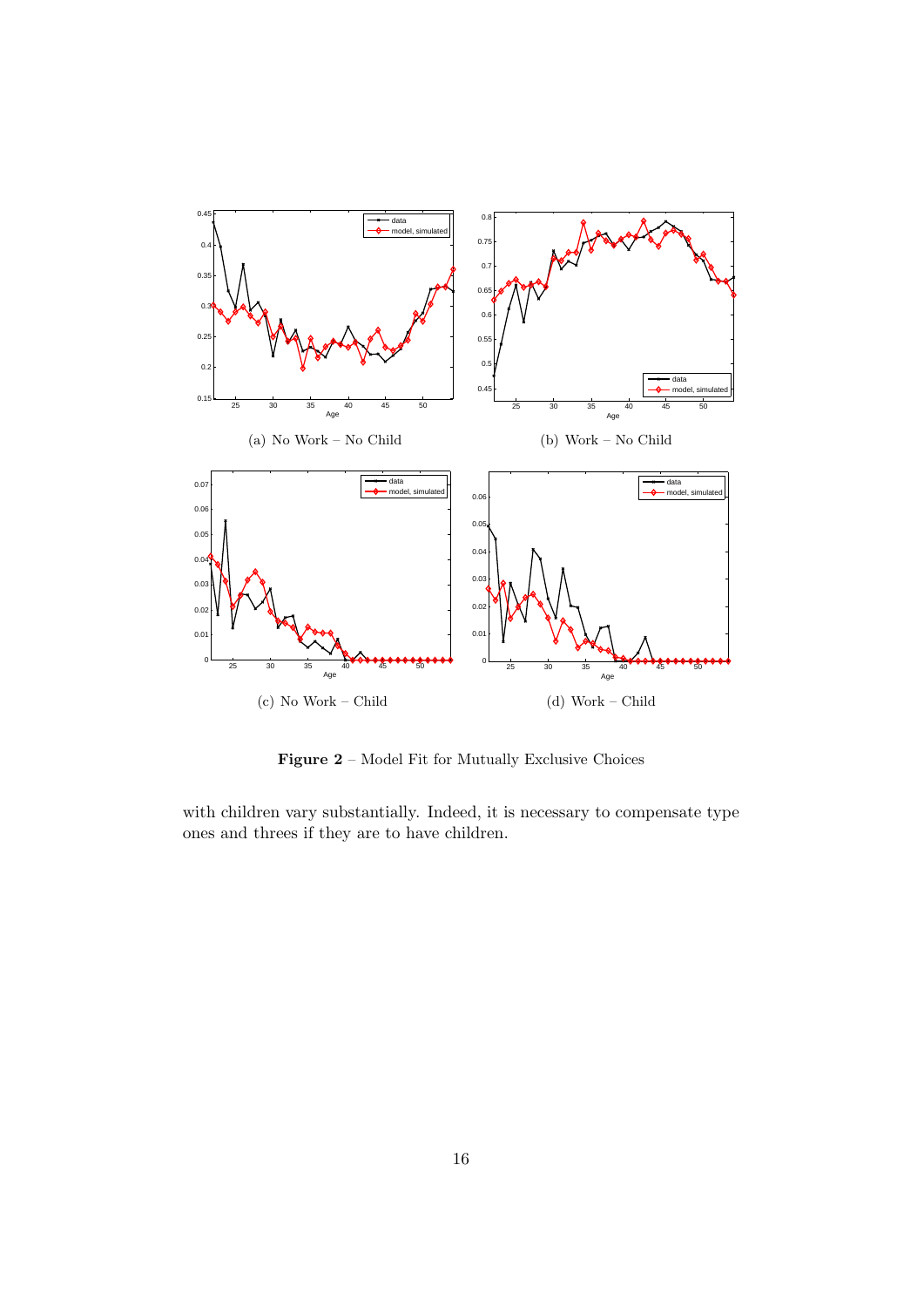

Figure 2 – Model Fit for Mutually Exclusive Choices

with children vary substantially. Indeed, it is necessary to compensate type ones and threes if they are to have children.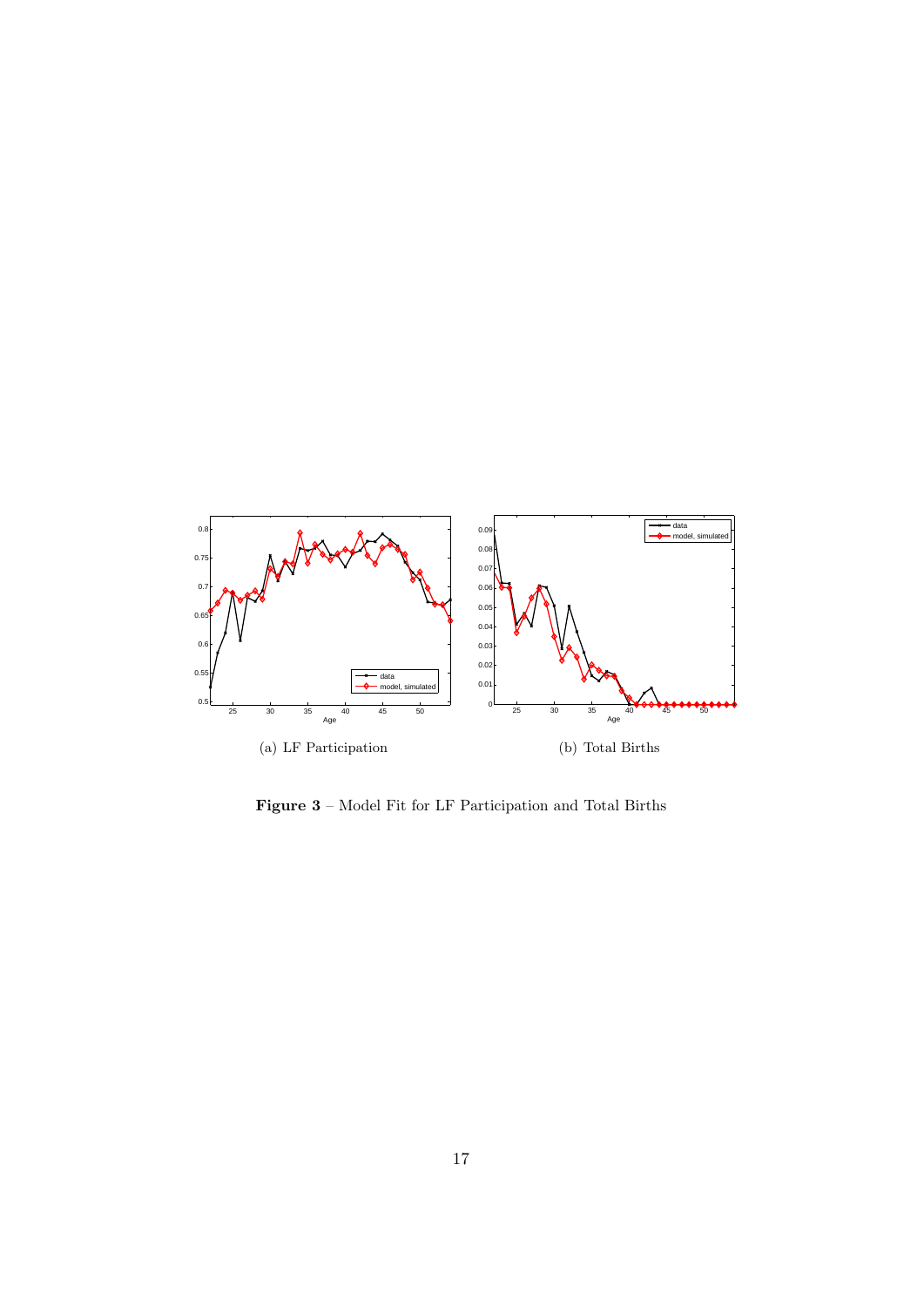

Figure 3 – Model Fit for LF Participation and Total Births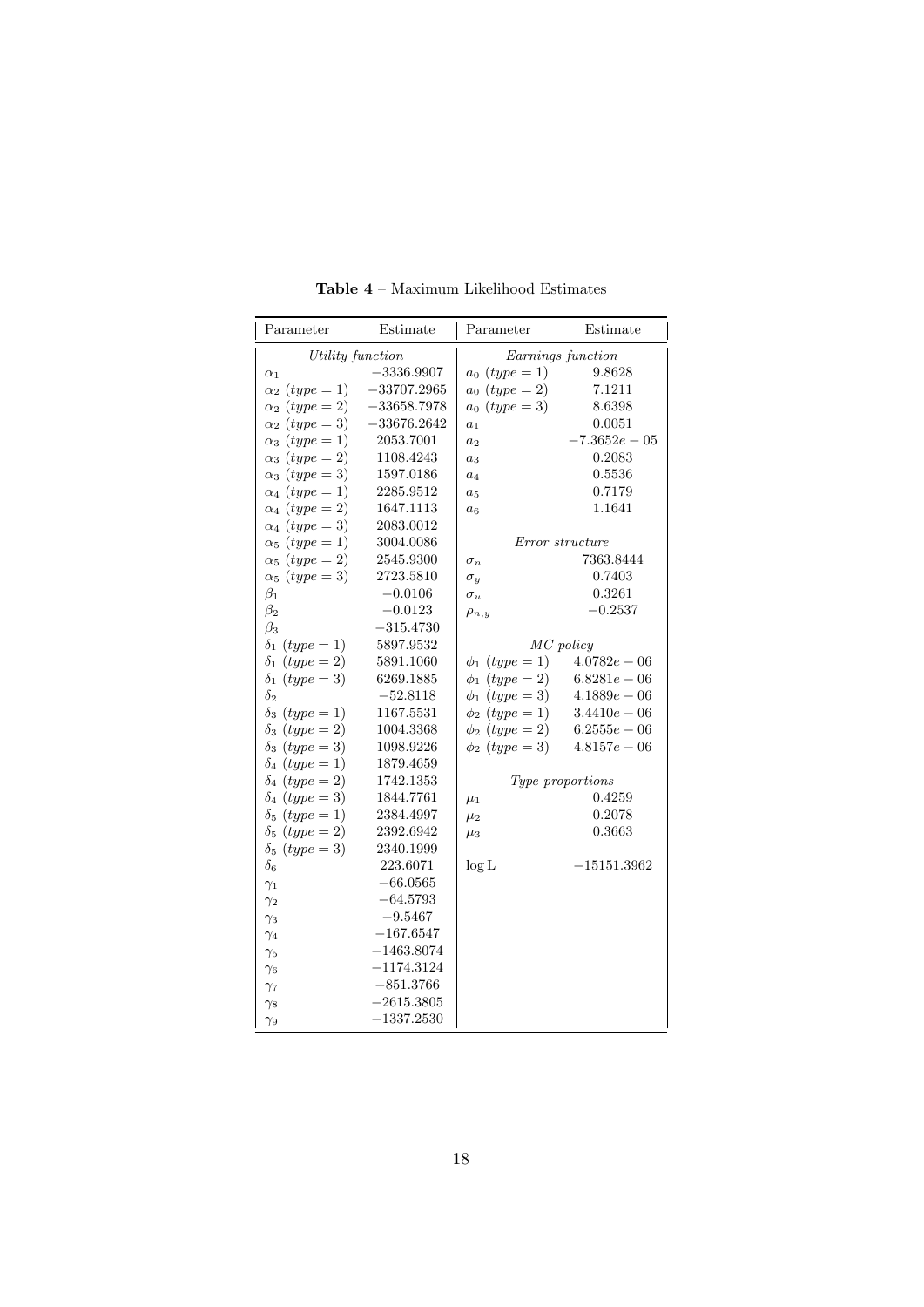| Parameter             | Estimate      | Parameter                | Estimate         |  |
|-----------------------|---------------|--------------------------|------------------|--|
| Utility function      |               | Earnings function        |                  |  |
| $\alpha_1$            | $-3336.9907$  | $a_0$ ( <i>type</i> = 1) | 9.8628           |  |
| $\alpha_2$ (type = 1) | $-33707.2965$ | $a_0$ ( <i>type</i> = 2) | 7.1211           |  |
| $\alpha_2$ (type = 2) | $-33658.7978$ | $a_0$ ( <i>type</i> = 3) | 8.6398           |  |
| $\alpha_2$ (type = 3) | $-33676.2642$ | a <sub>1</sub>           | 0.0051           |  |
| $\alpha_3$ (type = 1) | 2053.7001     | a <sub>2</sub>           | $-7.3652e - 05$  |  |
| $\alpha_3 \ (type=2)$ | 1108.4243     | $a_3$                    | 0.2083           |  |
| $\alpha_3$ (type = 3) | 1597.0186     | $a_4$                    | 0.5536           |  |
| $\alpha_4$ (type = 1) | 2285.9512     | $a_5$                    | 0.7179           |  |
| $\alpha_4$ (type = 2) | 1647.1113     | $a_6$                    | 1.1641           |  |
| $\alpha_4$ (type = 3) | 2083.0012     |                          |                  |  |
| $\alpha_5$ (type = 1) | 3004.0086     |                          | Error structure  |  |
| $\alpha_5$ (type = 2) | 2545.9300     | $\sigma_n$               | 7363.8444        |  |
| $\alpha_5$ (type = 3) | 2723.5810     | $\sigma_y$               | 0.7403           |  |
| $\beta_1$             | $-0.0106$     | $\sigma_u$               | 0.3261           |  |
| $\beta_2$             | $-0.0123$     | $\rho_{n,y}$             | $-0.2537$        |  |
| $\beta_3$             | $-315.4730$   |                          |                  |  |
| $\delta_1$ (type = 1) | 5897.9532     |                          | MC policy        |  |
| $\delta_1$ (type = 2) | 5891.1060     | $\phi_1$ (type = 1)      | $4.0782e - 06$   |  |
| $\delta_1$ (type = 3) | 6269.1885     | $\phi_1$ (type = 2)      | $6.8281e-06$     |  |
| $\delta_2$            | $-52.8118$    | $\phi_1$ (type = 3)      | $4.1889e - 06$   |  |
| $\delta_3$ (type = 1) | 1167.5531     | $\phi_2$ (type = 1)      | $3.4410e - 06$   |  |
| $\delta_3$ (type = 2) | 1004.3368     | $\phi_2$ (type = 2)      | $6.2555e - 06$   |  |
| $\delta_3$ (type = 3) | 1098.9226     | $\phi_2$ (type = 3)      | $4.8157e - 06$   |  |
| $\delta_4$ (type = 1) | 1879.4659     |                          |                  |  |
| $\delta_4$ (type = 2) | 1742.1353     |                          | Type proportions |  |
| $\delta_4$ (type = 3) | 1844.7761     | $\mu_1$                  | 0.4259           |  |
| $\delta_5$ (type = 1) | 2384.4997     | $\mu_2$                  | 0.2078           |  |
| $\delta_5$ (type = 2) | 2392.6942     | $\mu_3$                  | 0.3663           |  |
| $\delta_5$ (type = 3) | 2340.1999     |                          |                  |  |
| $\delta$ 6            | 223.6071      | $\log L$                 | $-15151.3962$    |  |
| $\gamma_1$            | $-66.0565$    |                          |                  |  |
| $\gamma_2$            | $-64.5793$    |                          |                  |  |
| $\gamma_3$            | $-9.5467$     |                          |                  |  |
| $\gamma_4$            | $-167.6547$   |                          |                  |  |
| $\gamma_5$            | $-1463.8074$  |                          |                  |  |
| $\gamma_6$            | $-1174.3124$  |                          |                  |  |
| $\gamma_7$            | $-851.3766$   |                          |                  |  |
| $\gamma_8$            | $-2615.3805$  |                          |                  |  |
| $\gamma_9$            | $-1337.2530$  |                          |                  |  |

Table 4 – Maximum Likelihood Estimates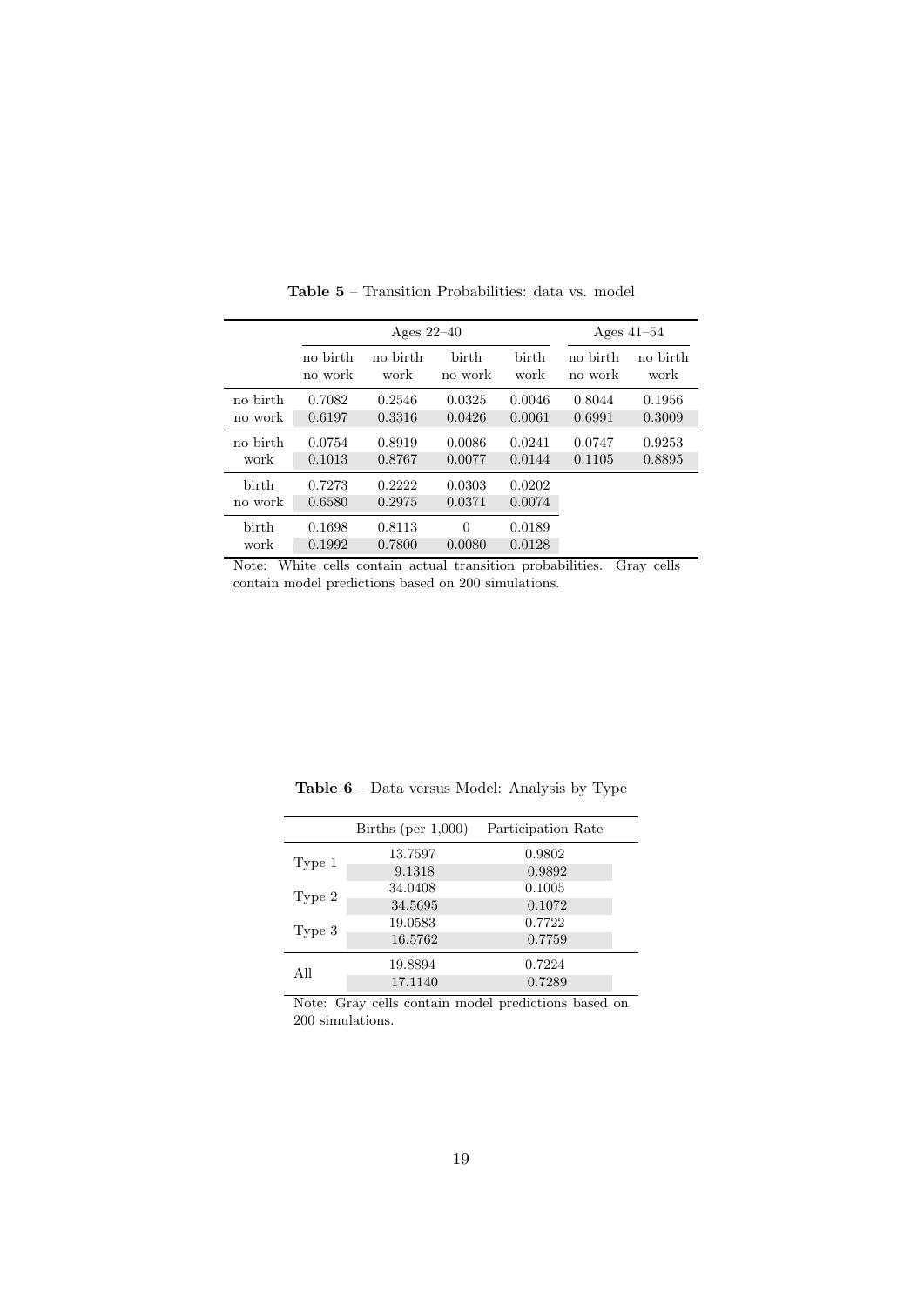|                  |                  | Ages $22-40$     |                    |                  |          | Ages $41-54$ |
|------------------|------------------|------------------|--------------------|------------------|----------|--------------|
|                  | no birth         | no birth         | birth              | birth            | no birth | no birth     |
|                  | no work          | work             | no work            | work             | no work  | work         |
| no birth         | 0.7082           | 0.2546           | 0.0325             | 0.0046           | 0.8044   | 0.1956       |
| no work          | 0.6197           | 0.3316           | 0.0426             | 0.0061           | 0.6991   | 0.3009       |
| no birth         | 0.0754           | 0.8919           | 0.0086             | 0.0241           | 0.0747   | 0.9253       |
| work             | 0.1013           | 0.8767           | 0.0077             | 0.0144           | 0.1105   | 0.8895       |
| birth<br>no work | 0.7273<br>0.6580 | 0.2222<br>0.2975 | 0.0303<br>0.0371   | 0.0202<br>0.0074 |          |              |
| birth<br>work    | 0.1698<br>0.1992 | 0.8113<br>0.7800 | $\Omega$<br>0.0080 | 0.0189<br>0.0128 |          |              |

Table 5 – Transition Probabilities: data vs. model

Note: White cells contain actual transition probabilities. Gray cells contain model predictions based on 200 simulations.

|        | Births (per $1,000$ ) | Participation Rate |
|--------|-----------------------|--------------------|
|        | 13.7597               | 0.9802             |
| Type 1 | 9.1318                | 0.9892             |
|        | 34.0408               | 0.1005             |
| Type 2 | 34.5695               | 0.1072             |
|        | 19.0583               | 0.7722             |
| Type 3 | 16.5762               | 0.7759             |
|        | 19.8894               | 0.7224             |
| All    | 17.1140               | 0.7289             |
|        |                       |                    |

Table 6 – Data versus Model: Analysis by Type

Note: Gray cells contain model predictions based on 200 simulations.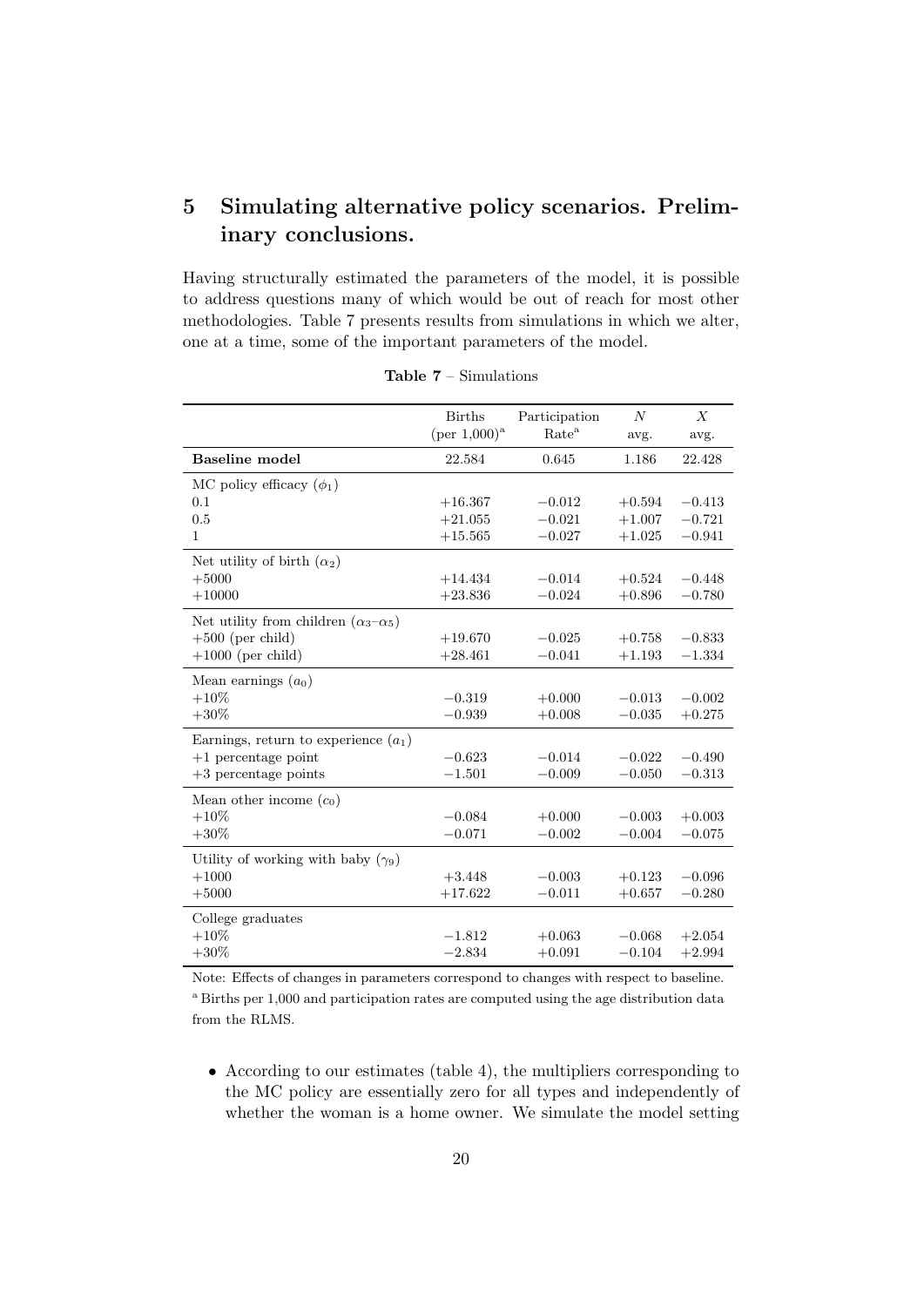## 5 Simulating alternative policy scenarios. Preliminary conclusions.

Having structurally estimated the parameters of the model, it is possible to address questions many of which would be out of reach for most other methodologies. Table 7 presents results from simulations in which we alter, one at a time, some of the important parameters of the model.

|                                                 | <b>Births</b><br>$(\text{per } 1,000)^{a}$ | Participation<br>Rate <sup>a</sup> | $\overline{N}$<br>avg. | $\boldsymbol{X}$<br>avg. |
|-------------------------------------------------|--------------------------------------------|------------------------------------|------------------------|--------------------------|
| <b>Baseline</b> model                           | 22.584                                     | 0.645                              | 1.186                  | 22.428                   |
| MC policy efficacy $(\phi_1)$                   |                                            |                                    |                        |                          |
| 0.1                                             | $+16.367$                                  | $-0.012$                           | $+0.594$               | $-0.413$                 |
| 0.5                                             | $+21.055$                                  | $-0.021$                           | $+1.007$               | $-0.721$                 |
| $\mathbf{1}$                                    | $+15.565$                                  | $-0.027$                           | $+1.025$               | $-0.941$                 |
| Net utility of birth $(\alpha_2)$               |                                            |                                    |                        |                          |
| $+5000$                                         | $+14.434$                                  | $-0.014$                           | $+0.524$               | $-0.448$                 |
| $+10000$                                        | $+23.836$                                  | $-0.024$                           | $+0.896$               | $-0.780$                 |
| Net utility from children $(\alpha_3-\alpha_5)$ |                                            |                                    |                        |                          |
| $+500$ (per child)                              | $+19.670$                                  | $-0.025$                           | $+0.758$               | $-0.833$                 |
| $+1000$ (per child)                             | $+28.461$                                  | $-0.041$                           | $+1.193$               | $-1.334$                 |
| Mean earnings $(a_0)$                           |                                            |                                    |                        |                          |
| $+10\%$                                         | $-0.319$                                   | $+0.000$                           | $-0.013$               | $-0.002$                 |
| $+30\%$                                         | $-0.939$                                   | $+0.008$                           | $-0.035$               | $+0.275$                 |
| Earnings, return to experience $(a_1)$          |                                            |                                    |                        |                          |
| $+1$ percentage point                           | $-0.623$                                   | $-0.014$                           | $-0.022$               | $-0.490$                 |
| $+3$ percentage points                          | $-1.501$                                   | $-0.009$                           | $-0.050$               | $-0.313$                 |
| Mean other income $(c_0)$                       |                                            |                                    |                        |                          |
| $+10\%$                                         | $-0.084$                                   | $+0.000$                           | $-0.003$               | $+0.003$                 |
| $+30\%$                                         | $-0.071$                                   | $-0.002$                           | $-0.004$               | $-0.075$                 |
| Utility of working with baby $(\gamma_9)$       |                                            |                                    |                        |                          |
| $+1000$                                         | $+3.448$                                   | $-0.003$                           | $+0.123$               | $-0.096$                 |
| $+5000$                                         | $+17.622$                                  | $-0.011$                           | $+0.657$               | $-0.280$                 |
| College graduates                               |                                            |                                    |                        |                          |
| $+10\%$                                         | $-1.812$                                   | $+0.063$                           | $-0.068$               | $+2.054$                 |
| $+30\%$                                         | $-2.834$                                   | $+0.091$                           | $-0.104$               | $+2.994$                 |

Table 7 – Simulations

Note: Effects of changes in parameters correspond to changes with respect to baseline. <sup>a</sup> Births per 1,000 and participation rates are computed using the age distribution data from the RLMS.

• According to our estimates (table 4), the multipliers corresponding to the MC policy are essentially zero for all types and independently of whether the woman is a home owner. We simulate the model setting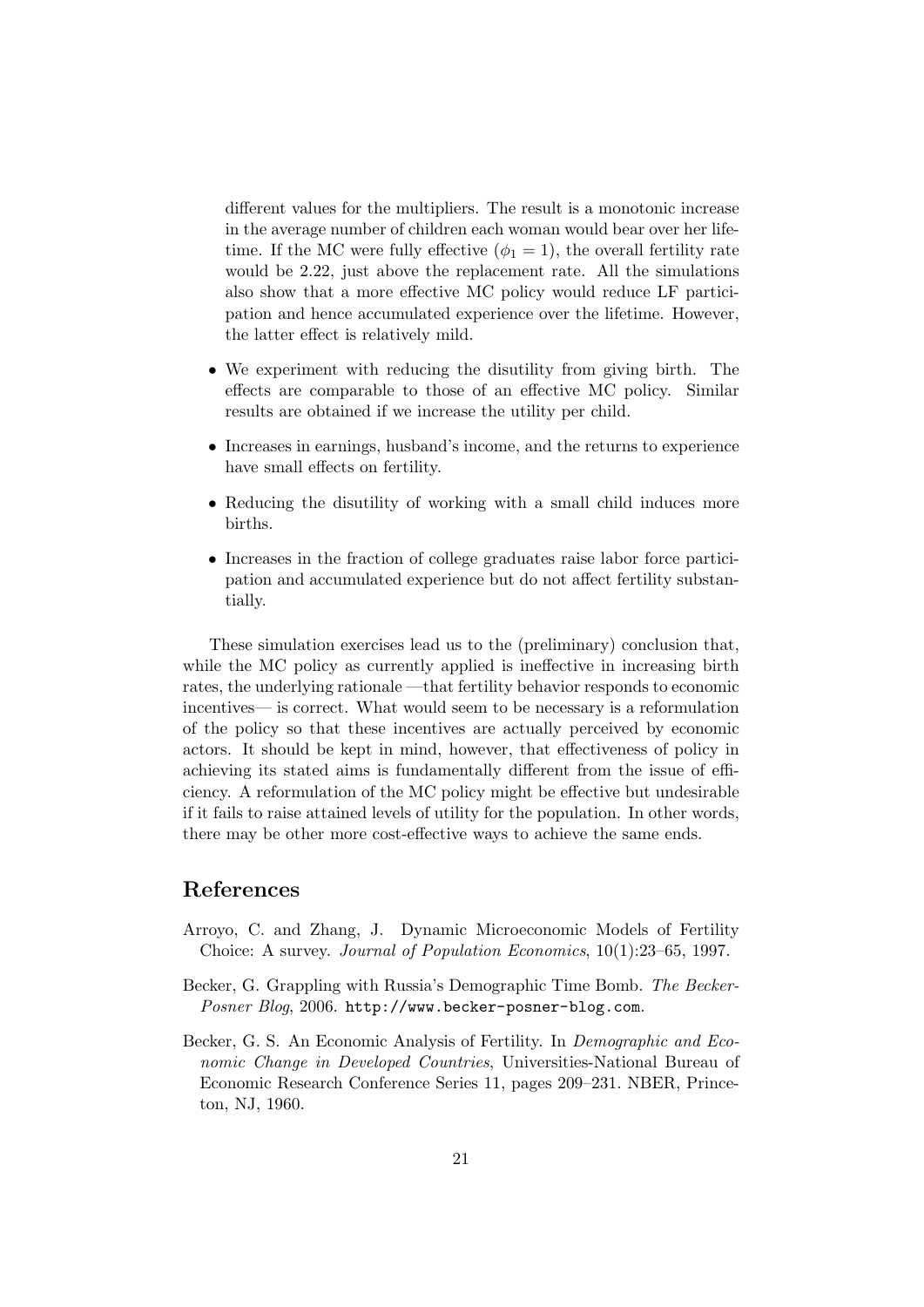different values for the multipliers. The result is a monotonic increase in the average number of children each woman would bear over her lifetime. If the MC were fully effective  $(\phi_1 = 1)$ , the overall fertility rate would be 2.22, just above the replacement rate. All the simulations also show that a more effective MC policy would reduce LF participation and hence accumulated experience over the lifetime. However, the latter effect is relatively mild.

- We experiment with reducing the disutility from giving birth. The effects are comparable to those of an effective MC policy. Similar results are obtained if we increase the utility per child.
- Increases in earnings, husband's income, and the returns to experience have small effects on fertility.
- Reducing the disutility of working with a small child induces more births.
- Increases in the fraction of college graduates raise labor force participation and accumulated experience but do not affect fertility substantially.

These simulation exercises lead us to the (preliminary) conclusion that, while the MC policy as currently applied is ineffective in increasing birth rates, the underlying rationale —that fertility behavior responds to economic incentives— is correct. What would seem to be necessary is a reformulation of the policy so that these incentives are actually perceived by economic actors. It should be kept in mind, however, that effectiveness of policy in achieving its stated aims is fundamentally different from the issue of efficiency. A reformulation of the MC policy might be effective but undesirable if it fails to raise attained levels of utility for the population. In other words, there may be other more cost-effective ways to achieve the same ends.

### References

- Arroyo, C. and Zhang, J. Dynamic Microeconomic Models of Fertility Choice: A survey. Journal of Population Economics, 10(1):23–65, 1997.
- Becker, G. Grappling with Russia's Demographic Time Bomb. The Becker-Posner Blog, 2006. http://www.becker-posner-blog.com.
- Becker, G. S. An Economic Analysis of Fertility. In Demographic and Economic Change in Developed Countries, Universities-National Bureau of Economic Research Conference Series 11, pages 209–231. NBER, Princeton, NJ, 1960.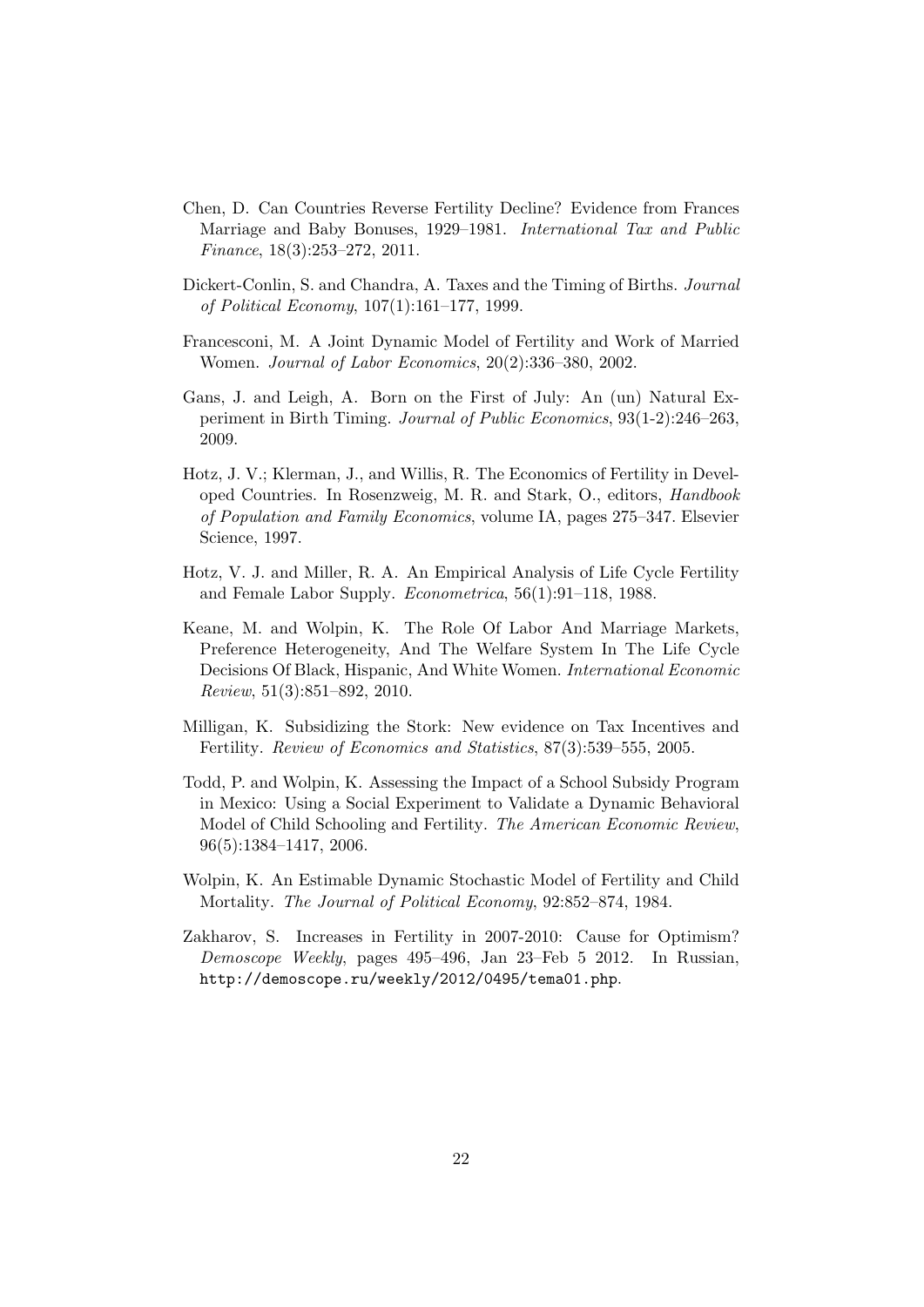- Chen, D. Can Countries Reverse Fertility Decline? Evidence from Frances Marriage and Baby Bonuses, 1929–1981. International Tax and Public Finance, 18(3):253–272, 2011.
- Dickert-Conlin, S. and Chandra, A. Taxes and the Timing of Births. Journal of Political Economy, 107(1):161–177, 1999.
- Francesconi, M. A Joint Dynamic Model of Fertility and Work of Married Women. Journal of Labor Economics, 20(2):336–380, 2002.
- Gans, J. and Leigh, A. Born on the First of July: An (un) Natural Experiment in Birth Timing. Journal of Public Economics, 93(1-2):246–263, 2009.
- Hotz, J. V.; Klerman, J., and Willis, R. The Economics of Fertility in Developed Countries. In Rosenzweig, M. R. and Stark, O., editors, Handbook of Population and Family Economics, volume IA, pages 275–347. Elsevier Science, 1997.
- Hotz, V. J. and Miller, R. A. An Empirical Analysis of Life Cycle Fertility and Female Labor Supply. Econometrica, 56(1):91–118, 1988.
- Keane, M. and Wolpin, K. The Role Of Labor And Marriage Markets, Preference Heterogeneity, And The Welfare System In The Life Cycle Decisions Of Black, Hispanic, And White Women. International Economic Review, 51(3):851–892, 2010.
- Milligan, K. Subsidizing the Stork: New evidence on Tax Incentives and Fertility. Review of Economics and Statistics, 87(3):539–555, 2005.
- Todd, P. and Wolpin, K. Assessing the Impact of a School Subsidy Program in Mexico: Using a Social Experiment to Validate a Dynamic Behavioral Model of Child Schooling and Fertility. The American Economic Review, 96(5):1384–1417, 2006.
- Wolpin, K. An Estimable Dynamic Stochastic Model of Fertility and Child Mortality. The Journal of Political Economy, 92:852–874, 1984.
- Zakharov, S. Increases in Fertility in 2007-2010: Cause for Optimism? Demoscope Weekly, pages 495–496, Jan 23–Feb 5 2012. In Russian, http://demoscope.ru/weekly/2012/0495/tema01.php.